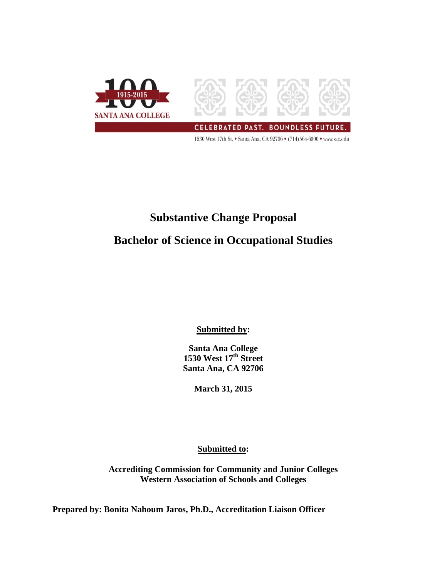

1530 West 17th St. • Santa Ana, CA 92706 • (714)564-6000 • www.sac.edu

# **Substantive Change Proposal Bachelor of Science in Occupational Studies**

**Submitted by:**

**Santa Ana College 1530 West 17th Street Santa Ana, CA 92706**

**March 31, 2015**

**Submitted to:**

**Accrediting Commission for Community and Junior Colleges Western Association of Schools and Colleges**

**Prepared by: Bonita Nahoum Jaros, Ph.D., Accreditation Liaison Officer**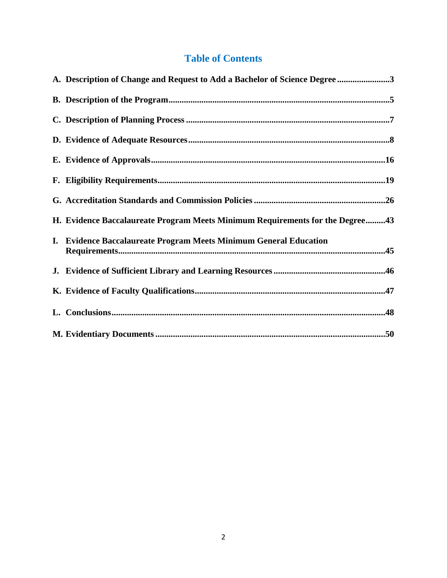# **Table of Contents**

| A. Description of Change and Request to Add a Bachelor of Science Degree 3    |
|-------------------------------------------------------------------------------|
|                                                                               |
|                                                                               |
|                                                                               |
|                                                                               |
|                                                                               |
|                                                                               |
| H. Evidence Baccalaureate Program Meets Minimum Requirements for the Degree43 |
| I. Evidence Baccalaureate Program Meets Minimum General Education             |
|                                                                               |
|                                                                               |
|                                                                               |
|                                                                               |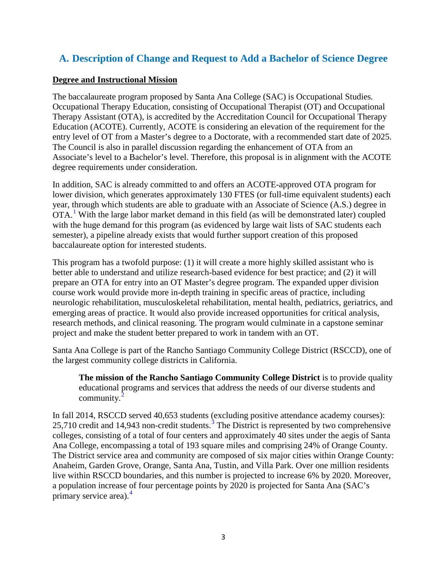# **A. Description of Change and Request to Add a Bachelor of Science Degree**

#### **Degree and Instructional Mission**

The baccalaureate program proposed by Santa Ana College (SAC) is Occupational Studies*.*  Occupational Therapy Education, consisting of Occupational Therapist (OT) and Occupational Therapy Assistant (OTA), is accredited by the Accreditation Council for Occupational Therapy Education (ACOTE). Currently, ACOTE is considering an elevation of the requirement for the entry level of OT from a Master's degree to a Doctorate, with a recommended start date of 2025. The Council is also in parallel discussion regarding the enhancement of OTA from an Associate's level to a Bachelor's level. Therefore, this proposal is in alignment with the ACOTE degree requirements under consideration.

In addition, SAC is already committed to and offers an ACOTE-approved OTA program for lower division, which generates approximately 130 FTES (or full-time equivalent students) each year, through which students are able to graduate with an Associate of Science (A.S.) degree in OTA[.](http://www.sac.edu/AcademicProgs/HST/OTA/Pages/default.aspx)<sup>[1](#page-49-0)</sup> With the large labor market demand in this field (as will be demonstrated later) coupled with the huge demand for this program (as evidenced by large wait lists of SAC students each semester), a pipeline already exists that would further support creation of this proposed baccalaureate option for interested students.

This program has a twofold purpose: (1) it will create a more highly skilled assistant who is better able to understand and utilize research-based evidence for best practice; and (2) it will prepare an OTA for entry into an OT Master's degree program. The expanded upper division course work would provide more in-depth training in specific areas of practice, including neurologic rehabilitation, musculoskeletal rehabilitation, mental health, pediatrics, geriatrics, and emerging areas of practice. It would also provide increased opportunities for critical analysis, research methods, and clinical reasoning. The program would culminate in a capstone seminar project and make the student better prepared to work in tandem with an OT.

Santa Ana College is part of the Rancho Santiago Community College District (RSCCD), one of the largest community college districts in California.

**The mission of the Rancho Santiago Community College District** is to provide quality educational programs and services that address the needs of our diverse students and community[.](http://www.rsccd.edu/Trustees/Pages/Mission-Goals.aspx) $^{2}$  $^{2}$  $^{2}$ 

In fall 2014, RSCCD served 40,653 students (excluding positive attendance academy courses):  $25,710$  credit and 14,94[3](#page-49-2) non-credit students.<sup>3</sup> The District is represented by two comprehensive colleges, consisting of a total of four centers and approximately 40 sites under the aegis of Santa Ana College, encompassing a total of 193 square miles and comprising 24% of Orange County. The District service area and community are composed of six major cities within Orange County: Anaheim, Garden Grove, Orange, Santa Ana, Tustin, and Villa Park. Over one million residents live within RSCCD boundaries, and this number is projected to increase 6% by 2020. Moreover, a population increase of four percentage points by 2020 is projected for Santa Ana (SAC's primary service area).<sup>[4](#page-49-3)</sup>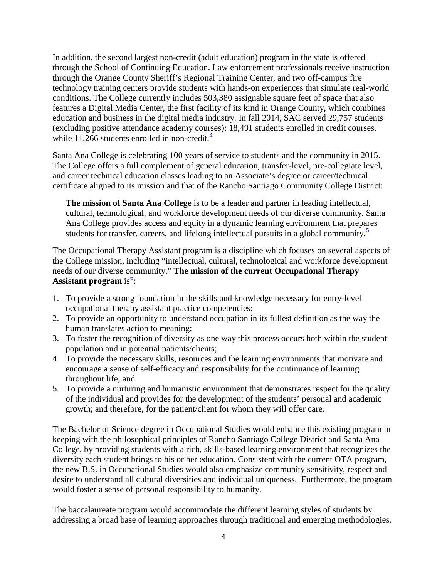In addition, the second largest non-credit (adult education) program in the state is offered through the School of Continuing Education. Law enforcement professionals receive instruction through the Orange County Sheriff's Regional Training Center, and two off-campus fire technology training centers provide students with hands-on experiences that simulate real-world conditions. The College currently includes 503,380 assignable square feet of space that also features a Digital Media Center, the first facility of its kind in Orange County, which combines education and business in the digital media industry. In fall 2014, SAC served 29,757 students (excluding positive attendance academy courses): 18,491 students enrolled in credit courses, while 11,266 students enrolled in non-credit. $3$ 

Santa Ana College is celebrating 100 years of service to students and the community in 2015. The College offers a full complement of general education, transfer-level, pre-collegiate level, and career technical education classes leading to an Associate's degree or career/technical certificate aligned to its mission and that of the Rancho Santiago Community College District:

**The mission of Santa Ana College** is to be a leader and partner in leading intellectual, cultural, technological, and workforce development needs of our diverse community. Santa Ana College provides access and equity in a dynamic learning environment that prepares students for transfer, careers, and lifelong intellectual pursuits in a global community.<sup>[5](#page-50-0)</sup>

The Occupational Therapy Assistant program is a discipline which focuses on several aspects of the College mission, including "intellectual, cultural, technological and workforce development needs of our diverse community." **The mission of the current Occupational Therapy Assistant program** is<sup>[6](http://www.sac.edu/AcademicAffairs/Documents/Substantive%20Change%20Proposal%20Baccalaureate%20Degree%20Proposal%202015/OTA%20Student%20Guide%20Book.pdf)</sup>:

- 1. To provide a strong foundation in the skills and knowledge necessary for entry-level occupational therapy assistant practice competencies;
- 2. To provide an opportunity to understand occupation in its fullest definition as the way the human translates action to meaning;
- 3. To foster the recognition of diversity as one way this process occurs both within the student population and in potential patients/clients;
- 4. To provide the necessary skills, resources and the learning environments that motivate and encourage a sense of self-efficacy and responsibility for the continuance of learning throughout life; and
- 5. To provide a nurturing and humanistic environment that demonstrates respect for the quality of the individual and provides for the development of the students' personal and academic growth; and therefore, for the patient/client for whom they will offer care.

The Bachelor of Science degree in Occupational Studies would enhance this existing program in keeping with the philosophical principles of Rancho Santiago College District and Santa Ana College, by providing students with a rich, skills-based learning environment that recognizes the diversity each student brings to his or her education. Consistent with the current OTA program, the new B.S. in Occupational Studies would also emphasize community sensitivity, respect and desire to understand all cultural diversities and individual uniqueness. Furthermore, the program would foster a sense of personal responsibility to humanity.

The baccalaureate program would accommodate the different learning styles of students by addressing a broad base of learning approaches through traditional and emerging methodologies.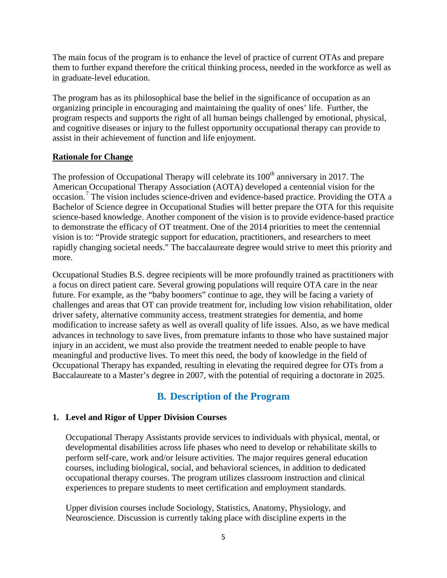The main focus of the program is to enhance the level of practice of current OTAs and prepare them to further expand therefore the critical thinking process, needed in the workforce as well as in graduate-level education.

The program has as its philosophical base the belief in the significance of occupation as an organizing principle in encouraging and maintaining the quality of ones' life. Further, the program respects and supports the right of all human beings challenged by emotional, physical, and cognitive diseases or injury to the fullest opportunity occupational therapy can provide to assist in their achievement of function and life enjoyment.

### **Rationale for Change**

The profession of Occupational Therapy will celebrate its  $100<sup>th</sup>$  anniversary in 2017. The American Occupational Therapy Association (AOTA) developed a centennial vision for the occasion.<sup>[7](#page-51-0)</sup> The vision includes science-driven and evidence-based practice. Providing the OTA a Bachelor of Science degree in Occupational Studies will better prepare the OTA for this requisite science-based knowledge. Another component of the vision is to provide evidence-based practice to demonstrate the efficacy of OT treatment. One of the 2014 priorities to meet the centennial vision is to: "Provide strategic support for education, practitioners, and researchers to meet rapidly changing societal needs." The baccalaureate degree would strive to meet this priority and more.

Occupational Studies B.S. degree recipients will be more profoundly trained as practitioners with a focus on direct patient care. Several growing populations will require OTA care in the near future. For example, as the "baby boomers" continue to age, they will be facing a variety of challenges and areas that OT can provide treatment for, including low vision rehabilitation, older driver safety, alternative community access, treatment strategies for dementia, and home modification to increase safety as well as overall quality of life issues. Also, as we have medical advances in technology to save lives, from premature infants to those who have sustained major injury in an accident, we must also provide the treatment needed to enable people to have meaningful and productive lives. To meet this need, the body of knowledge in the field of Occupational Therapy has expanded, resulting in elevating the required degree for OTs from a Baccalaureate to a Master's degree in 2007, with the potential of requiring a doctorate in 2025.

# **B. Description of the Program**

# **1. Level and Rigor of Upper Division Courses**

Occupational Therapy Assistants provide services to individuals with physical, mental, or developmental disabilities across life phases who need to develop or rehabilitate skills to perform self-care, work and/or leisure activities. The major requires general education courses, including biological, social, and behavioral sciences, in addition to dedicated occupational therapy courses. The program utilizes classroom instruction and clinical experiences to prepare students to meet certification and employment standards.

Upper division courses include Sociology, Statistics, Anatomy, Physiology, and Neuroscience. Discussion is currently taking place with discipline experts in the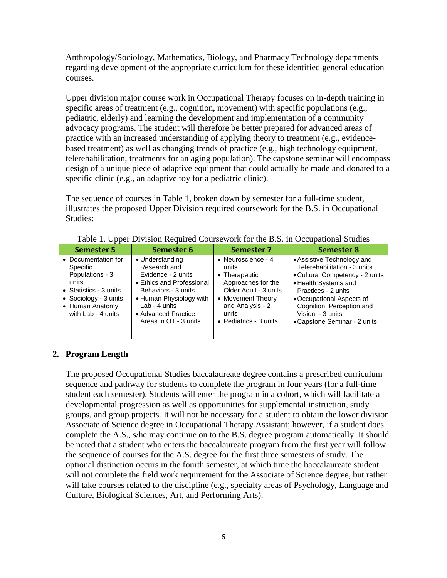Anthropology/Sociology, Mathematics, Biology, and Pharmacy Technology departments regarding development of the appropriate curriculum for these identified general education courses.

Upper division major course work in Occupational Therapy focuses on in-depth training in specific areas of treatment (e.g., cognition, movement) with specific populations (e.g., pediatric, elderly) and learning the development and implementation of a community advocacy programs. The student will therefore be better prepared for advanced areas of practice with an increased understanding of applying theory to treatment (e.g., evidencebased treatment) as well as changing trends of practice (e.g., high technology equipment, telerehabilitation, treatments for an aging population). The capstone seminar will encompass design of a unique piece of adaptive equipment that could actually be made and donated to a specific clinic (e.g., an adaptive toy for a pediatric clinic).

The sequence of courses in Table 1, broken down by semester for a full-time student, illustrates the proposed Upper Division required coursework for the B.S. in Occupational Studies:

| Semester 5                                                                                                                                              | Semester 6                                                                                                                                                                                            | Semester 7                                                                                                                                                                      | <b>Semester 8</b>                                                                                                                                                                                                                                          |
|---------------------------------------------------------------------------------------------------------------------------------------------------------|-------------------------------------------------------------------------------------------------------------------------------------------------------------------------------------------------------|---------------------------------------------------------------------------------------------------------------------------------------------------------------------------------|------------------------------------------------------------------------------------------------------------------------------------------------------------------------------------------------------------------------------------------------------------|
| • Documentation for<br>Specific<br>Populations - 3<br>units<br>• Statistics - 3 units<br>• Sociology - 3 units<br>• Human Anatomy<br>with Lab - 4 units | • Understanding<br>Research and<br>Evidence - 2 units<br>• Ethics and Professional<br>Behaviors - 3 units<br>• Human Physiology with<br>Lab - 4 units<br>• Advanced Practice<br>Areas in OT - 3 units | • Neuroscience - 4<br>units<br>• Therapeutic<br>Approaches for the<br>Older Adult - 3 units<br>• Movement Theory<br>and Analysis - 2<br>units<br>$\bullet$ Pediatrics - 3 units | • Assistive Technology and<br>Telerehabilitation - 3 units<br>• Cultural Competency - 2 units<br>• Health Systems and<br>Practices - 2 units<br>• Occupational Aspects of<br>Cognition, Perception and<br>Vision - 3 units<br>• Capstone Seminar - 2 units |

Table 1. Upper Division Required Coursework for the B.S. in Occupational Studies

# **2. Program Length**

The proposed Occupational Studies baccalaureate degree contains a prescribed curriculum sequence and pathway for students to complete the program in four years (for a full-time student each semester). Students will enter the program in a cohort, which will facilitate a developmental progression as well as opportunities for supplemental instruction, study groups, and group projects. It will not be necessary for a student to obtain the lower division Associate of Science degree in Occupational Therapy Assistant; however, if a student does complete the A.S., s/he may continue on to the B.S. degree program automatically. It should be noted that a student who enters the baccalaureate program from the first year will follow the sequence of courses for the A.S. degree for the first three semesters of study. The optional distinction occurs in the fourth semester, at which time the baccalaureate student will not complete the field work requirement for the Associate of Science degree, but rather will take courses related to the discipline (e.g., specialty areas of Psychology, Language and Culture, Biological Sciences, Art, and Performing Arts).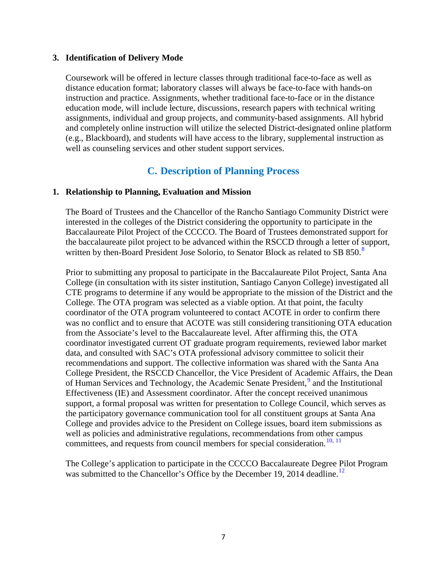#### **3. Identification of Delivery Mode**

Coursework will be offered in lecture classes through traditional face-to-face as well as distance education format; laboratory classes will always be face-to-face with hands-on instruction and practice. Assignments, whether traditional face-to-face or in the distance education mode, will include lecture, discussions, research papers with technical writing assignments, individual and group projects, and community-based assignments. All hybrid and completely online instruction will utilize the selected District-designated online platform (e.g., Blackboard), and students will have access to the library, supplemental instruction as well as counseling services and other student support services.

# **C. Description of Planning Process**

#### **1. Relationship to Planning, Evaluation and Mission**

The Board of Trustees and the Chancellor of the Rancho Santiago Community District were interested in the colleges of the District considering the opportunity to participate in the Baccalaureate Pilot Project of the CCCCO. The Board of Trustees demonstrated support for the baccalaureate pilot project to be advanced within the RSCCD through a letter of support, written by then-Board President Jose Solorio, to Senator Block as related to SB [8](#page-51-1)50.<sup>8</sup>

Prior to submitting any proposal to participate in the Baccalaureate Pilot Project, Santa Ana College (in consultation with its sister institution, Santiago Canyon College) investigated all CTE programs to determine if any would be appropriate to the mission of the District and the College. The OTA program was selected as a viable option. At that point, the faculty coordinator of the OTA program volunteered to contact ACOTE in order to confirm there was no conflict and to ensure that ACOTE was still considering transitioning OTA education from the Associate's level to the Baccalaureate level. After affirming this, the OTA coordinator investigated current OT graduate program requirements, reviewed labor market data, and consulted with SAC's OTA professional advisory committee to solicit their recommendations and support. The collective information was shared with the Santa Ana College President, the RSCCD Chancellor, the Vice President of Academic Affairs, the Dean of Human Services and Technology[,](http://www.sac.edu/AcademicAffairs/Documents/Substantive%20Change%20Proposal%20Baccalaureate%20Degree%20Proposal%202015/Academic%20Senate%20Meeting%20Minutes%20December%209%202014.pdf) the Academic Senate President.<sup>[9](#page-51-2)</sup> and the Institutional Effectiveness (IE) and Assessment coordinator. After the concept received unanimous support, a formal proposal was written for presentation to College Council, which serves as the participatory governance communication tool for all constituent groups at Santa Ana College and provides advice to the President on College issues, board item submissions as well as policies and administrative regulations, recommendations from other campus committees, and requests from council members for special consideration.<sup>[10](#page-51-3)[,](http://www.sac.edu/AcademicAffairs/Documents/Substantive%20Change%20Proposal%20Baccalaureate%20Degree%20Proposal%202015/College%20Council%20Meeting%20Minutes%20December%2010%202014.pdf) [11](#page-51-4)</sup>

The College's application to participate in the CCCCO Baccalaureate Degree Pilot Program was submitted to the Chancellor's Office by the December 19, 2014 deadline.<sup>[12](#page-51-5)</sup>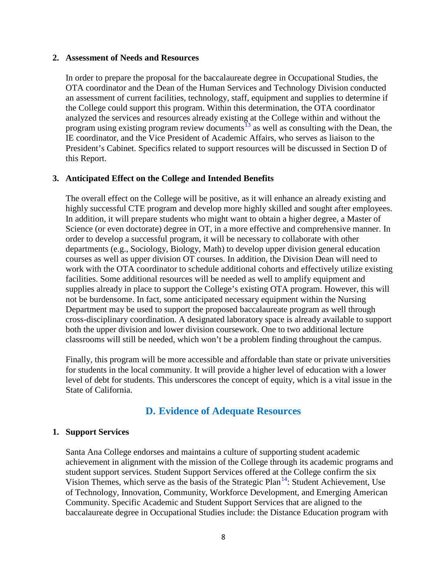#### **2. Assessment of Needs and Resources**

In order to prepare the proposal for the baccalaureate degree in Occupational Studies, the OTA coordinator and the Dean of the Human Services and Technology Division conducted an assessment of current facilities, technology, staff, equipment and supplies to determine if the College could support this program. Within this determination, the OTA coordinator analyzed the services and resources already existing at the College within and without the program using existing program review documents<sup>[13](#page-51-6)</sup> as well as consulting with the Dean, the IE coordinator, and the Vice President of Academic Affairs, who serves as liaison to the President's Cabinet. Specifics related to support resources will be discussed in Section D of this Report.

#### **3. Anticipated Effect on the College and Intended Benefits**

The overall effect on the College will be positive, as it will enhance an already existing and highly successful CTE program and develop more highly skilled and sought after employees. In addition, it will prepare students who might want to obtain a higher degree, a Master of Science (or even doctorate) degree in OT, in a more effective and comprehensive manner. In order to develop a successful program, it will be necessary to collaborate with other departments (e.g., Sociology, Biology, Math) to develop upper division general education courses as well as upper division OT courses. In addition, the Division Dean will need to work with the OTA coordinator to schedule additional cohorts and effectively utilize existing facilities. Some additional resources will be needed as well to amplify equipment and supplies already in place to support the College's existing OTA program. However, this will not be burdensome. In fact, some anticipated necessary equipment within the Nursing Department may be used to support the proposed baccalaureate program as well through cross-disciplinary coordination. A designated laboratory space is already available to support both the upper division and lower division coursework. One to two additional lecture classrooms will still be needed, which won't be a problem finding throughout the campus.

Finally, this program will be more accessible and affordable than state or private universities for students in the local community. It will provide a higher level of education with a lower level of debt for students. This underscores the concept of equity, which is a vital issue in the State of California.

# **D. Evidence of Adequate Resources**

#### **1. Support Services**

Santa Ana College endorses and maintains a culture of supporting student academic achievement in alignment with the mission of the College through its academic programs and student support services. Student Support Services offered at the College confirm the six Vision Themes, which serve as the basis of the Strategic Plan<sup>[14](#page-51-7)</sup>[:](http://www.sac.edu/AcademicAffairs/IEA_Office/Documents/2014-2016%20Strategic%20Plan%20Update_approved9102014.pdf) Student Achievement, Use of Technology, Innovation, Community, Workforce Development, and Emerging American Community. Specific Academic and Student Support Services that are aligned to the baccalaureate degree in Occupational Studies include: the Distance Education program with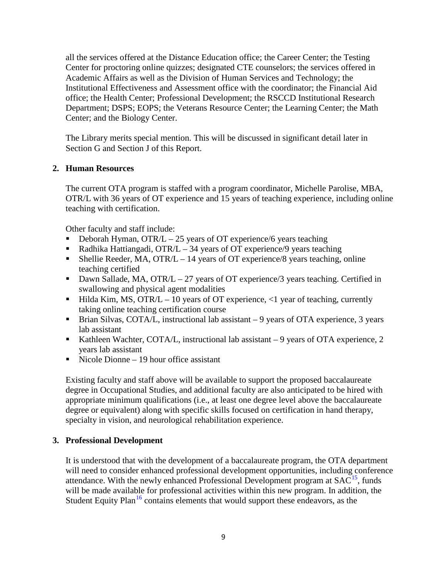all the services offered at the Distance Education office; the Career Center; the Testing Center for proctoring online quizzes; designated CTE counselors; the services offered in Academic Affairs as well as the Division of Human Services and Technology; the Institutional Effectiveness and Assessment office with the coordinator; the Financial Aid office; the Health Center; Professional Development; the RSCCD Institutional Research Department; DSPS; EOPS; the Veterans Resource Center; the Learning Center; the Math Center; and the Biology Center.

The Library merits special mention. This will be discussed in significant detail later in Section G and Section J of this Report.

### **2. Human Resources**

The current OTA program is staffed with a program coordinator, Michelle Parolise, MBA, OTR/L with 36 years of OT experience and 15 years of teaching experience, including online teaching with certification.

Other faculty and staff include:

- Deborah Hyman, OTR/ $L 25$  years of OT experience/6 years teaching
- Radhika Hattiangadi, OTR/L 34 years of OT experience/9 years teaching
- Shellie Reeder, MA, OTR/L 14 years of OT experience/8 years teaching, online teaching certified
- Dawn Sallade, MA, OTR/L 27 years of OT experience/3 years teaching. Certified in swallowing and physical agent modalities
- $\blacksquare$  Hilda Kim, MS, OTR/L 10 years of OT experience, <1 year of teaching, currently taking online teaching certification course
- Brian Silvas, COTA/L, instructional lab assistant 9 years of OTA experience, 3 years lab assistant
- Kathleen Wachter, COTA/L, instructional lab assistant  $-9$  years of OTA experience, 2 years lab assistant
- Nicole Dionne 19 hour office assistant

Existing faculty and staff above will be available to support the proposed baccalaureate degree in Occupational Studies, and additional faculty are also anticipated to be hired with appropriate minimum qualifications (i.e., at least one degree level above the baccalaureate degree or equivalent) along with specific skills focused on certification in hand therapy, specialty in vision, and neurological rehabilitation experience.

#### **3. Professional Development**

It is understood that with the development of a baccalaureate program, the OTA department will need to consider enhanced professional development opportunities, including conference attendance. With the newly enhanced Professional Development program at  $SAC<sup>15</sup>$  $SAC<sup>15</sup>$  $SAC<sup>15</sup>$ [,](http://www.sac.edu/facultystaff/professional-development/Pages/default.aspx) funds will be made available for professional activities within this new program. In addition, the Student Equity Plan<sup>[16](#page-51-9)</sup> contains elements that would support these endeavors, as the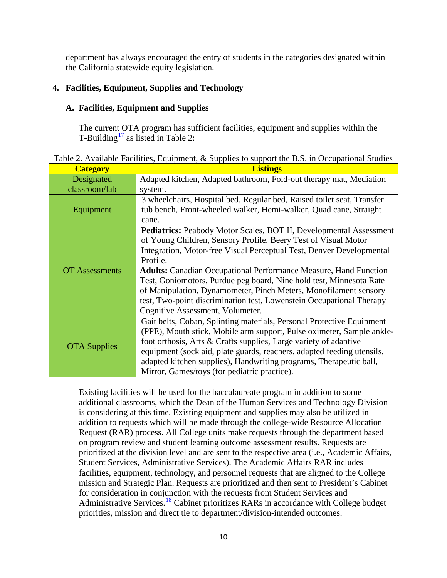department has always encouraged the entry of students in the categories designated within the California statewide equity legislation.

# **4. Facilities, Equipment, Supplies and Technology**

# **A. Facilities, Equipment and Supplies**

The current OTA program has sufficient facilities, equipment and supplies within the T-Building<sup>[17](#page-51-10)</sup> as listed in Table 2:

| <b>Category</b>       | <b>Listings</b>                                                           |
|-----------------------|---------------------------------------------------------------------------|
| Designated            | Adapted kitchen, Adapted bathroom, Fold-out therapy mat, Mediation        |
| classroom/lab         | system.                                                                   |
|                       | 3 wheelchairs, Hospital bed, Regular bed, Raised toilet seat, Transfer    |
| Equipment             | tub bench, Front-wheeled walker, Hemi-walker, Quad cane, Straight         |
|                       | cane.                                                                     |
|                       | <b>Pediatrics:</b> Peabody Motor Scales, BOT II, Developmental Assessment |
|                       | of Young Children, Sensory Profile, Beery Test of Visual Motor            |
|                       | Integration, Motor-free Visual Perceptual Test, Denver Developmental      |
|                       | Profile.                                                                  |
| <b>OT Assessments</b> | <b>Adults:</b> Canadian Occupational Performance Measure, Hand Function   |
|                       | Test, Goniomotors, Purdue peg board, Nine hold test, Minnesota Rate       |
|                       | of Manipulation, Dynamometer, Pinch Meters, Monofilament sensory          |
|                       | test, Two-point discrimination test, Lowenstein Occupational Therapy      |
|                       | Cognitive Assessment, Volumeter.                                          |
|                       | Gait belts, Coban, Splinting materials, Personal Protective Equipment     |
|                       | (PPE), Mouth stick, Mobile arm support, Pulse oximeter, Sample ankle-     |
|                       | foot orthosis, Arts & Crafts supplies, Large variety of adaptive          |
| <b>OTA</b> Supplies   | equipment (sock aid, plate guards, reachers, adapted feeding utensils,    |
|                       | adapted kitchen supplies), Handwriting programs, Therapeutic ball,        |
|                       | Mirror, Games/toys (for pediatric practice).                              |

Table 2. Available Facilities, Equipment, & Supplies to support the B.S. in Occupational Studies

Existing facilities will be used for the baccalaureate program in addition to some additional classrooms, which the Dean of the Human Services and Technology Division is considering at this time. Existing equipment and supplies may also be utilized in addition to requests which will be made through the college-wide Resource Allocation Request (RAR) process. All College units make requests through the department based on program review and student learning outcome assessment results. Requests are prioritized at the division level and are sent to the respective area (i.e., Academic Affairs, Student Services, Administrative Services). The Academic Affairs RAR includes facilities, equipment, technology, and personnel requests that are aligned to the College mission and Strategic Plan. Requests are prioritized and then sent to President's Cabinet for consideration in conjunction with the requests from Student Services and Administrative Services.<sup>[18](#page-51-11)</sup> Cabinet prioritizes RARs in accordance with College budget priorities, mission and direct tie to department/division-intended outcomes.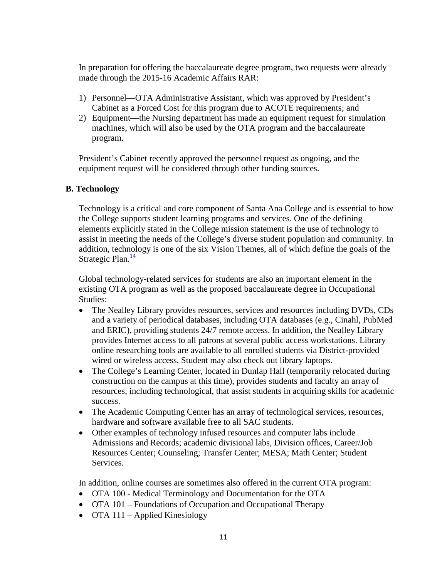In preparation for offering the baccalaureate degree program, two requests were already made through the 2015-16 Academic Affairs RAR:

- 1) Personnel—OTA Administrative Assistant, which was approved by President's Cabinet as a Forced Cost for this program due to ACOTE requirements; and
- 2) Equipment—the Nursing department has made an equipment request for simulation machines, which will also be used by the OTA program and the baccalaureate program.

President's Cabinet recently approved the personnel request as ongoing, and the equipment request will be considered through other funding sources.

# **B. Technology**

Technology is a critical and core component of Santa Ana College and is essential to how the College supports student learning programs and services. One of the defining elements explicitly stated in the College mission statement is the use of technology to assist in meeting the needs of the College's diverse student population and community. In addition, technology is one of the six Vision Themes, all of which define the goals of the Strategic Plan.<sup>14</sup>

Global technology-related services for students are also an important element in the existing OTA program as well as the proposed baccalaureate degree in Occupational Studies:

- The Nealley Library provides resources, services and resources including DVDs, CDs and a variety of periodical databases, including OTA databases (e.g., Cinahl, PubMed and ERIC), providing students 24/7 remote access. In addition, the Nealley Library provides Internet access to all patrons at several public access workstations. Library online researching tools are available to all enrolled students via District-provided wired or wireless access. Student may also check out library laptops.
- The College's Learning Center, located in Dunlap Hall (temporarily relocated during construction on the campus at this time), provides students and faculty an array of resources, including technological, that assist students in acquiring skills for academic success.
- The Academic Computing Center has an array of technological services, resources, hardware and software available free to all SAC students.
- Other examples of technology infused resources and computer labs include Admissions and Records; academic divisional labs, Division offices, Career/Job Resources Center; Counseling; Transfer Center; MESA; Math Center; Student Services.

In addition, online courses are sometimes also offered in the current OTA program:

- OTA 100 Medical Terminology and Documentation for the OTA
- OTA 101 Foundations of Occupation and Occupational Therapy
- OTA 111 Applied Kinesiology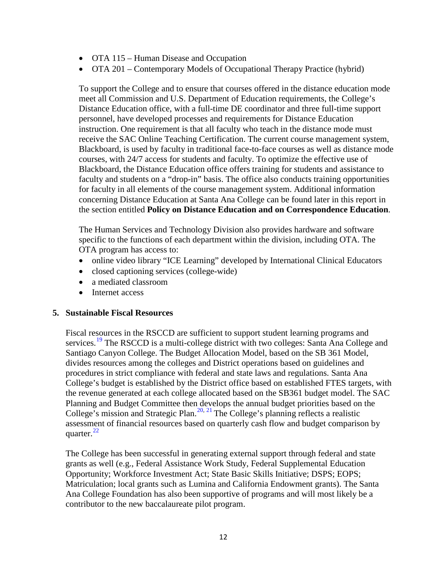- OTA 115 Human Disease and Occupation
- OTA 201 Contemporary Models of Occupational Therapy Practice (hybrid)

To support the College and to ensure that courses offered in the distance education mode meet all Commission and U.S. Department of Education requirements, the College's Distance Education office, with a full-time DE coordinator and three full-time support personnel, have developed processes and requirements for Distance Education instruction. One requirement is that all faculty who teach in the distance mode must receive the SAC Online Teaching Certification. The current course management system, Blackboard, is used by faculty in traditional face-to-face courses as well as distance mode courses, with 24/7 access for students and faculty. To optimize the effective use of Blackboard, the Distance Education office offers training for students and assistance to faculty and students on a "drop-in" basis. The office also conducts training opportunities for faculty in all elements of the course management system. Additional information concerning Distance Education at Santa Ana College can be found later in this report in the section entitled **Policy on Distance Education and on Correspondence Education**.

The Human Services and Technology Division also provides hardware and software specific to the functions of each department within the division, including OTA. The OTA program has access to:

- online video library "ICE Learning" developed by International Clinical Educators
- closed captioning services (college-wide)
- a mediated classroom
- Internet access

#### **5. Sustainable Fiscal Resources**

Fiscal resources in the RSCCD are sufficient to support student learning programs and services.<sup>[19](#page-51-12)</sup> The RSCCD is a multi-college district with two colleges: Santa Ana College and Santiago Canyon College. The Budget Allocation Model, based on the SB 361 Model, divides resources among the colleges and District operations based on guidelines and procedures in strict compliance with federal and state laws and regulations. Santa Ana College's budget is established by the District office based on established FTES targets, with the revenue generated at each college allocated based on the SB361 budget model. The SAC Planning and Budget Committee then develops the annual budget priorities based on the College's mission and Strategic Plan.<sup>[20](#page-51-13)[,](http://www.sac.edu/AdminServices/budget/Documents/Budget%20Assumptions%20FY%2015-16%20Approved.pdf) [21](#page-51-14)</sup> The College's planning reflects a realistic assessment of financial resources based on quarterly cash flow and budget comparison by quarter. $^{22}$  $^{22}$  $^{22}$ 

The College has been successful in generating external support through federal and state grants as well (e.g., Federal Assistance Work Study, Federal Supplemental Education Opportunity; Workforce Investment Act; State Basic Skills Initiative; DSPS; EOPS; Matriculation; local grants such as Lumina and California Endowment grants). The Santa Ana College Foundation has also been supportive of programs and will most likely be a contributor to the new baccalaureate pilot program.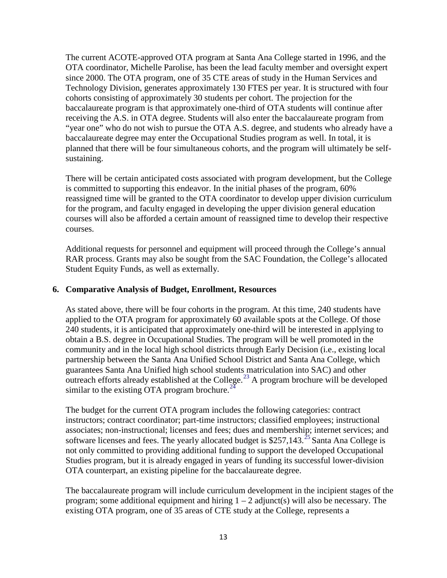The current ACOTE-approved OTA program at Santa Ana College started in 1996, and the OTA coordinator, Michelle Parolise, has been the lead faculty member and oversight expert since 2000. The OTA program, one of 35 CTE areas of study in the Human Services and Technology Division, generates approximately 130 FTES per year. It is structured with four cohorts consisting of approximately 30 students per cohort. The projection for the baccalaureate program is that approximately one-third of OTA students will continue after receiving the A.S. in OTA degree. Students will also enter the baccalaureate program from "year one" who do not wish to pursue the OTA A.S. degree, and students who already have a baccalaureate degree may enter the Occupational Studies program as well. In total, it is planned that there will be four simultaneous cohorts, and the program will ultimately be selfsustaining.

There will be certain anticipated costs associated with program development, but the College is committed to supporting this endeavor. In the initial phases of the program, 60% reassigned time will be granted to the OTA coordinator to develop upper division curriculum for the program, and faculty engaged in developing the upper division general education courses will also be afforded a certain amount of reassigned time to develop their respective courses.

Additional requests for personnel and equipment will proceed through the College's annual RAR process. Grants may also be sought from the SAC Foundation, the College's allocated Student Equity Funds, as well as externally.

#### **6. Comparative Analysis of Budget, Enrollment, Resources**

As stated above, there will be four cohorts in the program. At this time, 240 students have applied to the OTA program for approximately 60 available spots at the College. Of those 240 students, it is anticipated that approximately one-third will be interested in applying to obtain a B.S. degree in Occupational Studies. The program will be well promoted in the community and in the local high school districts through Early Decision (i.e., existing local partnership between the Santa Ana Unified School District and Santa Ana College, which guarantees Santa Ana Unified high school students matriculation into SAC) and other outreach efforts already established at the College. $^{23}$  $^{23}$  $^{23}$  A program brochure will be developed similar to the existing OTA program brochure. $^2$ 

The budget for the current OTA program includes the following categories: contract instructors; contract coordinator; part-time instructors; classified employees; instructional associates; non-instructional; licenses and fees; dues and membership; internet services; and software licenses and fees. The yearly allocated budget is \$[25](#page-51-18)7,143.<sup>25</sup> Santa Ana College is not only committed to providing additional funding to support the developed Occupational Studies program, but it is already engaged in years of funding its successful lower-division OTA counterpart, an existing pipeline for the baccalaureate degree.

The baccalaureate program will include curriculum development in the incipient stages of the program; some additional equipment and hiring  $1 - 2$  adjunct(s) will also be necessary. The existing OTA program, one of 35 areas of CTE study at the College, represents a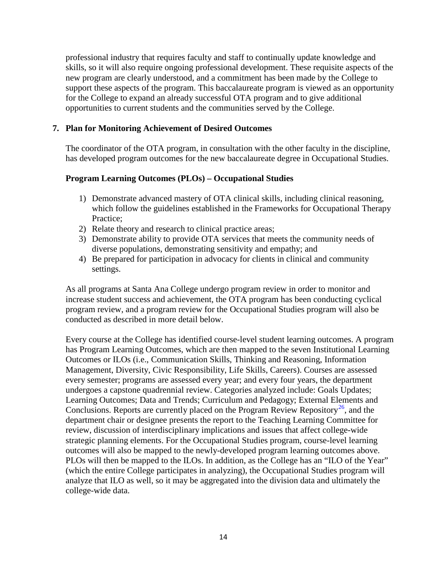professional industry that requires faculty and staff to continually update knowledge and skills, so it will also require ongoing professional development. These requisite aspects of the new program are clearly understood, and a commitment has been made by the College to support these aspects of the program. This baccalaureate program is viewed as an opportunity for the College to expand an already successful OTA program and to give additional opportunities to current students and the communities served by the College.

#### **7. Plan for Monitoring Achievement of Desired Outcomes**

The coordinator of the OTA program, in consultation with the other faculty in the discipline, has developed program outcomes for the new baccalaureate degree in Occupational Studies.

### **Program Learning Outcomes (PLOs) – Occupational Studies**

- 1) Demonstrate advanced mastery of OTA clinical skills, including clinical reasoning, which follow the guidelines established in the Frameworks for Occupational Therapy Practice;
- 2) Relate theory and research to clinical practice areas;
- 3) Demonstrate ability to provide OTA services that meets the community needs of diverse populations, demonstrating sensitivity and empathy; and
- 4) Be prepared for participation in advocacy for clients in clinical and community settings.

As all programs at Santa Ana College undergo program review in order to monitor and increase student success and achievement, the OTA program has been conducting cyclical program review, and a program review for the Occupational Studies program will also be conducted as described in more detail below.

Every course at the College has identified course-level student learning outcomes. A program has Program Learning Outcomes, which are then mapped to the seven Institutional Learning Outcomes or ILOs (i.e., Communication Skills, Thinking and Reasoning, Information Management, Diversity, Civic Responsibility, Life Skills, Careers). Courses are assessed every semester; programs are assessed every year; and every four years, the department undergoes a capstone quadrennial review. Categories analyzed include: Goals Updates; Learning Outcomes; Data and Trends; Curriculum and Pedagogy; External Elements and Conclusions. Reports are currently placed on the Program Review Repository<sup>[26](#page-51-19)</sup>[,](http://www.sac.edu/program_Review/Pages/default.aspx) and the department chair or designee presents the report to the Teaching Learning Committee for review, discussion of interdisciplinary implications and issues that affect college-wide strategic planning elements. For the Occupational Studies program, course-level learning outcomes will also be mapped to the newly-developed program learning outcomes above. PLOs will then be mapped to the ILOs. In addition, as the College has an "ILO of the Year" (which the entire College participates in analyzing), the Occupational Studies program will analyze that ILO as well, so it may be aggregated into the division data and ultimately the college-wide data.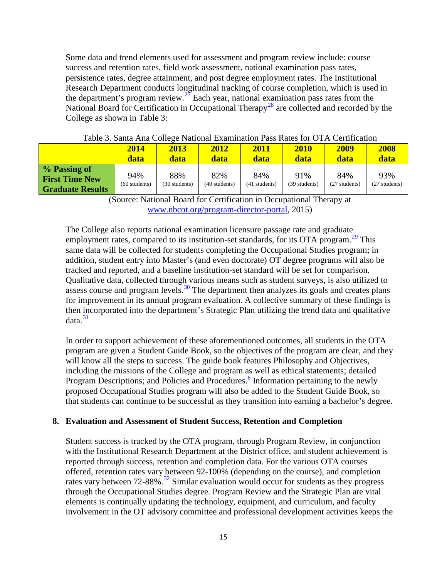Some data and trend elements used for assessment and program review include: course success and retention rates, field work assessment, national examination pass rates, persistence rates, degree attainment, and post degree employment rates. The Institutional Research Department conducts longitudinal tracking of course completion, which is used in the department's program review.<sup>[27](#page-51-20)</sup> Each year, national examination pass rates from the National Board for Certification in Occupational Therapy<sup>[28](#page-51-21)</sup> are collected and recorded by the College as shown in Table 3:

|                                                                  | 2014<br>data           | 2013<br>data         | 2012<br>data         | 2011<br><b>data</b>  | 2010<br>data         | 2009<br>data         | 2008<br>data         |
|------------------------------------------------------------------|------------------------|----------------------|----------------------|----------------------|----------------------|----------------------|----------------------|
| % Passing of<br><b>First Time New</b><br><b>Graduate Results</b> | 94%<br>$(60$ students) | 88%<br>(30 students) | 82%<br>(40 students) | 84%<br>(41 students) | 91%<br>(39 students) | 84%<br>(27 students) | 93%<br>(27 students) |

(Source: National Board for Certification in Occupational Therapy at [www.nbcot.org/program-director-portal,](http://www.nbcot.org/program-director-portal) 2015)

The College also reports national examination licensure passage rate and graduate employment rates, compared to its institution-set standards, for its OTA program.<sup>[29](#page-51-22)</sup> This same data will be collected for students completing the Occupational Studies program; in addition, student entry into Master's (and even doctorate) OT degree programs will also be tracked and reported, and a baseline institution-set standard will be set for comparison. Qualitative data, collected through various means such as student surveys, is also utilized to assess course and program levels.<sup>[30](#page-51-23)</sup> The department then analyzes its goals and creates plans for improvement in its annual program evaluation. A collective summary of these findings is then incorporated into the department's Strategic Plan utilizing the trend data and qualitative data. [3](http://www.sac.edu/AcademicAffairs/Documents/Substantive%20Change%20Proposal%20Baccalaureate%20Degree%20Proposal%202015/Program%20Strategic%20Plan%202014_2016%20OTA.pdf)[1](#page-51-24)

In order to support achievement of these aforementioned outcomes, all students in the OTA program are given a Student Guide Book, so the objectives of the program are clear, and they will know all the steps to success. The guide book features Philosophy and Objectives, including the missions of the College and program as well as ethical statements; detailed Program Descriptions; and Policies and Procedures.<sup>6</sup> Information pertaining to the newly proposed Occupational Studies program will also be added to the Student Guide Book, so that students can continue to be successful as they transition into earning a bachelor's degree.

#### **8. Evaluation and Assessment of Student Success, Retention and Completion**

Student success is tracked by the OTA program, through Program Review, in conjunction with the Institutional Research Department at the District office, and student achievement is reported through success, retention and completion data. For the various OTA courses offered, retention rates vary between 92-100% (depending on the course), and completion rates vary between  $72-88\%$  $72-88\%$  $72-88\%$ .<sup>[3](http://www.sac.edu/AcademicAffairs/Documents/Substantive%20Change%20Proposal%20Baccalaureate%20Degree%20Proposal%202015/Course%20Success,%20Retention,and%20Completion%20Rates%20for%20OTA.pdf)2</sup> Similar evaluation would occur for students as they progress through the Occupational Studies degree. Program Review and the Strategic Plan are vital elements is continually updating the technology, equipment, and curriculum, and faculty involvement in the OT advisory committee and professional development activities keeps the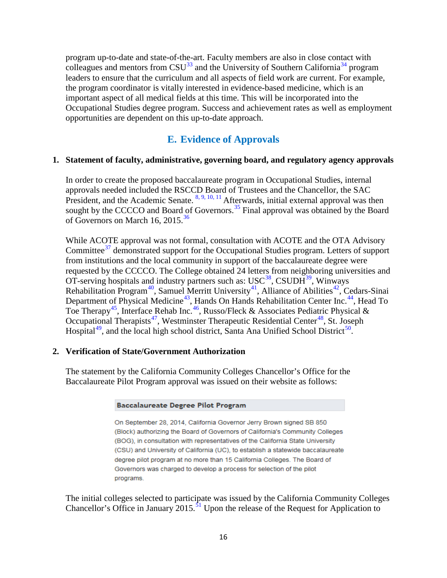program up-to-date and state-of-the-art. Faculty members are also in close contact with colleagues and mentors from  $CSU^{33}$  $CSU^{33}$  $CSU^{33}$  and the University of Southern California<sup>[34](#page-51-27)</sup> program leaders to ensure that the curriculum and all aspects of field work are current. For example, the program coordinator is vitally interested in evidence-based medicine, which is an important aspect of all medical fields at this time. This will be incorporated into the Occupational Studies degree program. Success and achievement rates as well as employment opportunities are dependent on this up-to-date approach.

# **E. Evidence of Approvals**

#### **1. Statement of faculty, administrative, governing board, and regulatory agency approvals**

In order to create the proposed baccalaureate program in Occupational Studies, internal approvals needed included the RSCCD Board of Trustees and the Chancellor, the SAC President, and the Academic Senate. <sup>[8,](http://www.sac.edu/AcademicAffairs/Documents/Substantive%20Change%20Proposal%20Baccalaureate%20Degree%20Proposal%202015/Board%20of%20Trustees%20letter%20of%20support%20for%20SB850.pdf) [9,](http://www.sac.edu/AcademicAffairs/Documents/Substantive%20Change%20Proposal%20Baccalaureate%20Degree%20Proposal%202015/Academic%20Senate%20Meeting%20Minutes%20December%209%202014.pdf) [10,](http://www.sac.edu/AcademicAffairs/Documents/Substantive%20Change%20Proposal%20Baccalaureate%20Degree%20Proposal%202015/College%20Council%20Meeting%20Minutes%20December%2010%202014.pdf) [11](http://www.sac.edu/AcademicAffairs/Documents/Substantive%20Change%20Proposal%20Baccalaureate%20Degree%20Proposal%202015/College%20Council%20Meeting%20Minutes%20January%2014%202015.pdf)</sup> Afterwards, initial external approval was then sought by the CCCCO and Board of Governors.<sup>[35](#page-51-28)</sup> Final approval was obtained by the Board of Governors on March 16, 2015.<sup>[36](#page-51-29)</sup>

While ACOTE approval was not formal, consultation with ACOTE and the OTA Advisory Committee<sup>[37](#page-51-30)</sup> demonstrated support for the Occupational Studies program. Letters of support from institutions and the local community in support of the baccalaureate degree were requested by the CCCCO. The College obtained 24 letters from neighboring universities and OT-serving hospitals and industry partners such as:  $USC<sup>38</sup>$  $USC<sup>38</sup>$  $USC<sup>38</sup>$ [,](http://www.sac.edu/AcademicAffairs/Documents/Substantive%20Change%20Proposal%20Baccalaureate%20Degree%20Proposal%202015/CSUDH%20Letter%20of%20Support.pdf) CSUDH<sup>[39](#page-51-32)</sup>, Winways Rehabilitation Program<sup>[40](#page-51-33)</sup>[,](http://www.sac.edu/AcademicAffairs/Documents/Substantive%20Change%20Proposal%20Baccalaureate%20Degree%20Proposal%202015/Alliance%20of%20Abilities%20Letter%20of%20Support.pdf) Samuel Merritt University<sup>[41](#page-51-34)</[s](http://www.sac.edu/AcademicAffairs/Documents/Substantive%20Change%20Proposal%20Baccalaureate%20Degree%20Proposal%202015/Alliance%20of%20Abilities%20Letter%20of%20Support.pdf)up>, Alliance of Abilities<sup>[42](#page-51-35)</sup>, Cedars-Sinai Department of Physical Medicine<sup>[4](#page-51-36)3</sup>, Hands On Hands Rehabilitation Center Inc[.](http://www.sac.edu/AcademicAffairs/Documents/Substantive%20Change%20Proposal%20Baccalaureate%20Degree%20Proposal%202015/Hands%20on%20Hands%20Letter%20of%20Support.pdf)<sup>[44](#page-51-37)</sup>[,](http://www.sac.edu/AcademicAffairs/Documents/Substantive%20Change%20Proposal%20Baccalaureate%20Degree%20Proposal%202015/Hands%20on%20Hands%20Letter%20of%20Support.pdf) Head To Toe Therapy<sup>[45](#page-51-38)</sup>[,](http://www.sac.edu/AcademicAffairs/Documents/Substantive%20Change%20Proposal%20Baccalaureate%20Degree%20Proposal%202015/Interface%20Rehab%20Letter%20of%20Support.pdf) Interface Rehab Inc[.](http://www.sac.edu/AcademicAffairs/Documents/Substantive%20Change%20Proposal%20Baccalaureate%20Degree%20Proposal%202015/Interface%20Rehab%20Letter%20of%20Support.pdf)<sup>[46](#page-51-39)</sup>, Russo/Fleck & Associates Pediatric Physical & Occupational Therapists<sup>[47](#page-51-40)</sup>[,](http://www.sac.edu/AcademicAffairs/Documents/Substantive%20Change%20Proposal%20Baccalaureate%20Degree%20Proposal%202015/Extended%20Care%20Hospital%20of%20Westminster%20Letter%20of%20Support.pdf) Westminste[r](http://www.sac.edu/AcademicAffairs/Documents/Substantive%20Change%20Proposal%20Baccalaureate%20Degree%20Proposal%202015/Extended%20Care%20Hospital%20of%20Westminster%20Letter%20of%20Support.pdf) Therapeutic Residential Center<sup>[48](#page-51-41)</sup>, St. Joseph Hospital<sup>[49](#page-51-42)</sup>[,](http://www.sac.edu/AcademicAffairs/Documents/Substantive%20Change%20Proposal%20Baccalaureate%20Degree%20Proposal%202015/St%20Joseph%20Hospital%20Letter%20of%20Support.pdf) and the local high school district, Santa Ana Unified School District<sup>[50](#page-51-43)</sup>[.](http://www.sac.edu/AcademicAffairs/Documents/Substantive%20Change%20Proposal%20Baccalaureate%20Degree%20Proposal%202015/SAUSD%20Letter%20of%20Support.pdf)

#### **2. Verification of State/Government Authorization**

The statement by the California Community Colleges Chancellor's Office for the Baccalaureate Pilot Program approval was issued on their website as follows:

#### **Baccalaureate Degree Pilot Program**

On September 28, 2014, California Governor Jerry Brown signed SB 850 (Block) authorizing the Board of Governors of California's Community Colleges (BOG), in consultation with representatives of the California State University (CSU) and University of California (UC), to establish a statewide baccalaureate degree pilot program at no more than 15 California Colleges. The Board of Governors was charged to develop a process for selection of the pilot programs.

The initial colleges selected to participate was issued by the California Community Colleges Chancellor's Office in January 2015.<sup>[51](#page-51-44)</sup> Upon the release of the Request for Application to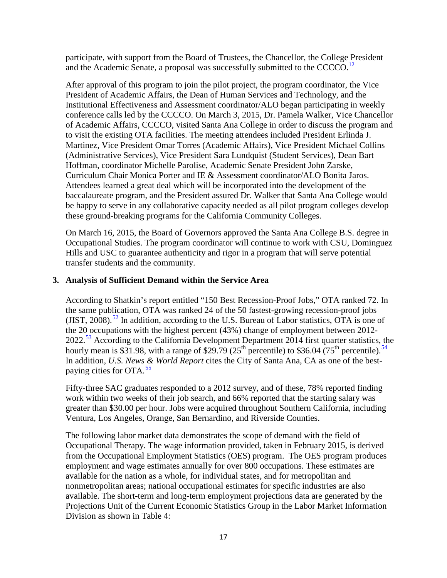participate, with support from the Board of Trustees, the Chancellor, the College President and the Academic Senate, a proposal was successfully submitted to the CCCCO.<sup>[12](http://www.sac.edu/AcademicAffairs/Documents/Substantive%20Change%20Proposal%20Baccalaureate%20Degree%20Proposal%202015/SAC_BS_Proposal_Occupational_Studies_12-17-14_FINAL.pdf)</sup>

After approval of this program to join the pilot project, the program coordinator, the Vice President of Academic Affairs, the Dean of Human Services and Technology, and the Institutional Effectiveness and Assessment coordinator/ALO began participating in weekly conference calls led by the CCCCO. On March 3, 2015, Dr. Pamela Walker, Vice Chancellor of Academic Affairs, CCCCO, visited Santa Ana College in order to discuss the program and to visit the existing OTA facilities. The meeting attendees included President Erlinda J. Martinez, Vice President Omar Torres (Academic Affairs), Vice President Michael Collins (Administrative Services), Vice President Sara Lundquist (Student Services), Dean Bart Hoffman, coordinator Michelle Parolise, Academic Senate President John Zarske, Curriculum Chair Monica Porter and IE & Assessment coordinator/ALO Bonita Jaros. Attendees learned a great deal which will be incorporated into the development of the baccalaureate program, and the President assured Dr. Walker that Santa Ana College would be happy to serve in any collaborative capacity needed as all pilot program colleges develop these ground-breaking programs for the California Community Colleges.

On March 16, 2015, the Board of Governors approved the Santa Ana College B.S. degree in Occupational Studies. The program coordinator will continue to work with CSU, Dominguez Hills and USC to guarantee authenticity and rigor in a program that will serve potential transfer students and the community.

# **3. Analysis of Sufficient Demand within the Service Area**

According to Shatkin's report entitled "150 Best Recession-Proof Jobs," OTA ranked 72. In the same publication, OTA was ranked 24 of the 50 fastest-growing recession-proof jobs (JIST, 2008).<sup>[52](#page-51-45)</sup> In addition, according to the U.S. Bureau of Labor statistics, OTA is one of the 20 occupations with the highest percent (43%) change of employment between 2012- 2022.<sup>[53](#page-51-46)</sup> According to the California Development Department 2014 first quarter statistics, the hourly mean is \$31.98, with a range of \$29.79 (2[5](http://www.labormarketinfo.edd.ca.gov/cgi/databrowsing/occExplorerQSDetails.asp?searchCriteria=&careerID=&menuChoice=occExplorer&geogArea=&soccode=312011&search=Explore+Occupation)<sup>th</sup> percentile) to \$36.0[4](#page-51-47)(75<sup>th</sup> percentile).<sup>54</sup> In addition, *U.S. News & World Report* cites the City of Santa Ana, CA as one of the bestpaying cities for  $OTA<sup>55</sup>$  $OTA<sup>55</sup>$  $OTA<sup>55</sup>$ 

Fifty-three SAC graduates responded to a 2012 survey, and of these, 78% reported finding work within two weeks of their job search, and 66% reported that the starting salary was greater than \$30.00 per hour. Jobs were acquired throughout Southern California, including Ventura, Los Angeles, Orange, San Bernardino, and Riverside Counties.

The following labor market data demonstrates the scope of demand with the field of Occupational Therapy. The wage information provided, taken in February 2015, is derived from the Occupational Employment Statistics (OES) program. The OES program produces employment and wage estimates annually for over 800 occupations. These estimates are available for the nation as a whole, for individual states, and for metropolitan and nonmetropolitan areas; national occupational estimates for specific industries are also available. The short-term and long-term employment projections data are generated by the Projections Unit of the Current Economic Statistics Group in the Labor Market Information Division as shown in Table 4: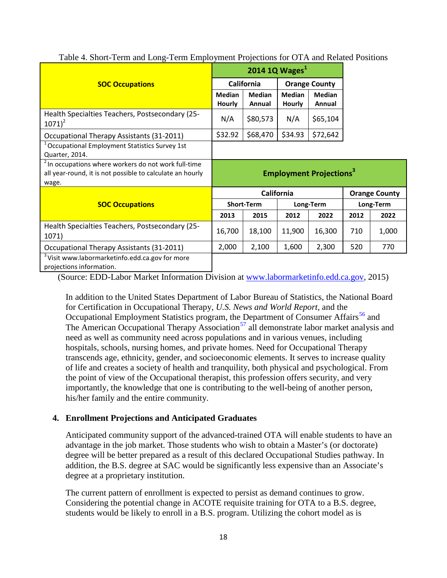|                                                                                                                                       |                                           | 2014 1Q Wages $1$       |                         |                         |           |                      |
|---------------------------------------------------------------------------------------------------------------------------------------|-------------------------------------------|-------------------------|-------------------------|-------------------------|-----------|----------------------|
| <b>SOC Occupations</b>                                                                                                                |                                           | California              |                         | <b>Orange County</b>    |           |                      |
|                                                                                                                                       | <b>Median</b><br><b>Hourly</b>            | <b>Median</b><br>Annual | <b>Median</b><br>Hourly | <b>Median</b><br>Annual |           |                      |
| Health Specialties Teachers, Postsecondary (25-<br>$1071)^2$                                                                          | N/A                                       | \$80,573                | N/A                     | \$65,104                |           |                      |
| Occupational Therapy Assistants (31-2011)                                                                                             | \$32.92                                   | \$68,470                | \$34.93                 | \$72,642                |           |                      |
| <sup>1</sup> Occupational Employment Statistics Survey 1st<br>Quarter, 2014.                                                          |                                           |                         |                         |                         |           |                      |
| <sup>2</sup> In occupations where workers do not work full-time<br>all year-round, it is not possible to calculate an hourly<br>wage. | <b>Employment Projections<sup>3</sup></b> |                         |                         |                         |           |                      |
|                                                                                                                                       |                                           |                         | <b>California</b>       |                         |           | <b>Orange County</b> |
| <b>SOC Occupations</b>                                                                                                                |                                           | <b>Short-Term</b>       |                         | Long-Term               | Long-Term |                      |
|                                                                                                                                       | 2013                                      | 2015                    | 2012                    | 2022                    | 2012      | 2022                 |
| Health Specialties Teachers, Postsecondary (25-<br>1071)                                                                              | 16,700                                    | 18,100                  | 11,900                  | 16,300                  | 710       | 1,000                |
| Occupational Therapy Assistants (31-2011)                                                                                             | 2,000                                     | 2,100                   | 1,600                   | 2,300                   | 520       | 770                  |
| <sup>3</sup> Visit www.labormarketinfo.edd.ca.gov for more<br>projections information.                                                |                                           |                         |                         |                         |           |                      |

Table 4. Short-Term and Long-Term Employment Projections for OTA and Related Positions

(Source: EDD-Labor Market Information Division at [www.labormarketinfo.edd.ca.gov,](http://www.labormarketinfo.edd.ca.gov/) 2015)

In addition to the United States Department of Labor Bureau of Statistics, the National Board for Certification in Occupational Therapy, *U.S. News and World Report*, and the Occupational Employment Statistics program, the Department of Consumer Affairs<sup>[56](#page-51-49)</sup> and The American Occupational Therapy Association<sup>[57](#page-51-50)</sup> all demonstrate labor market analysis and need as well as community need across populations and in various venues, including hospitals, schools, nursing homes, and private homes. Need for Occupational Therapy transcends age, ethnicity, gender, and socioeconomic elements. It serves to increase quality of life and creates a society of health and tranquility, both physical and psychological. From the point of view of the Occupational therapist, this profession offers security, and very importantly, the knowledge that one is contributing to the well-being of another person, his/her family and the entire community.

# **4. Enrollment Projections and Anticipated Graduates**

Anticipated community support of the advanced-trained OTA will enable students to have an advantage in the job market. Those students who wish to obtain a Master's (or doctorate) degree will be better prepared as a result of this declared Occupational Studies pathway. In addition, the B.S. degree at SAC would be significantly less expensive than an Associate's degree at a proprietary institution.

The current pattern of enrollment is expected to persist as demand continues to grow. Considering the potential change in ACOTE requisite training for OTA to a B.S. degree, students would be likely to enroll in a B.S. program. Utilizing the cohort model as is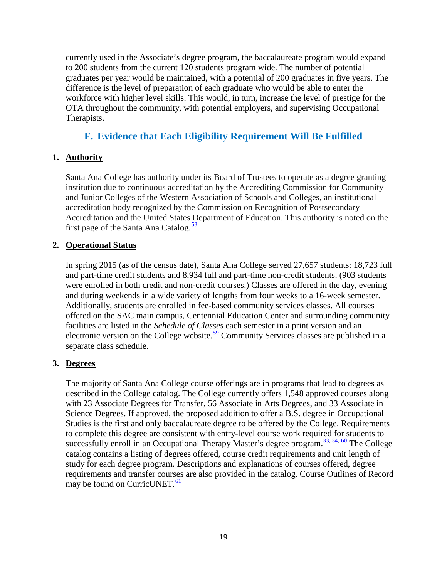currently used in the Associate's degree program, the baccalaureate program would expand to 200 students from the current 120 students program wide. The number of potential graduates per year would be maintained, with a potential of 200 graduates in five years. The difference is the level of preparation of each graduate who would be able to enter the workforce with higher level skills. This would, in turn, increase the level of prestige for the OTA throughout the community, with potential employers, and supervising Occupational Therapists.

# **F. Evidence that Each Eligibility Requirement Will Be Fulfilled**

# **1. Authority**

Santa Ana College has authority under its Board of Trustees to operate as a degree granting institution due to continuous accreditation by the Accrediting Commission for Community and Junior Colleges of the Western Association of Schools and Colleges, an institutional accreditation body recognized by the Commission on Recognition of Postsecondary Accreditation and the United States Department of Education. This authority is noted on the first page of the Santa Ana Catalog.<sup>[58](#page-51-51)</sup>

# **2. Operational Status**

In spring 2015 (as of the census date), Santa Ana College served 27,657 students: 18,723 full and part-time credit students and 8,934 full and part-time non-credit students. (903 students were enrolled in both credit and non-credit courses.) Classes are offered in the day, evening and during weekends in a wide variety of lengths from four weeks to a 16-week semester. Additionally, students are enrolled in fee-based community services classes. All courses offered on the SAC main campus, Centennial Education Center and surrounding community facilities are listed in the *Schedule of Classes* each semester in a print version and an electronic version on the College website.<sup>[59](#page-51-52)</sup> Community Services classes are published in a separate class schedule.

# **3. Degrees**

The majority of Santa Ana College course offerings are in programs that lead to degrees as described in the College catalog. The College currently offers 1,548 approved courses along with 23 Associate Degrees for Transfer, 56 Associate in Arts Degrees, and 33 Associate in Science Degrees. If approved, the proposed addition to offer a B.S. degree in Occupational Studies is the first and only baccalaureate degree to be offered by the College. Requirements to complete this degree are consistent with entry-level course work required for students to successfully enroll in an Occupational Therapy Master's degree program.<sup>33, [34,](http://chan.usc.edu/)[60](#page-51-53)</sup> The College catalog contains a listing of degrees offered, course credit requirements and unit length of study for each degree program. Descriptions and explanations of courses offered, degree requirements and transfer courses are also provided in the catalog. Course Outlines of Record may be found on CurricUNET.<sup>[61](#page-51-54)</sup>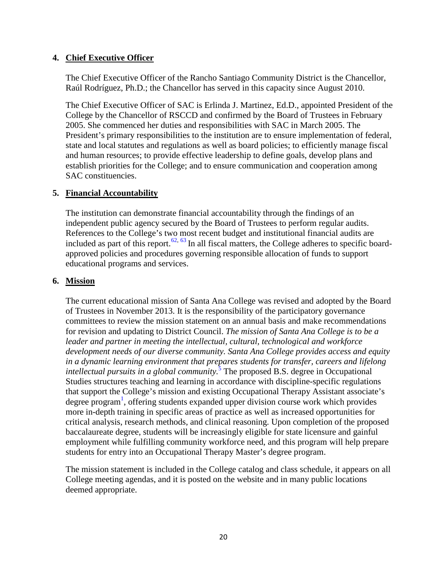### **4. Chief Executive Officer**

The Chief Executive Officer of the Rancho Santiago Community District is the Chancellor, Raúl Rodríguez, Ph.D.; the Chancellor has served in this capacity since August 2010.

The Chief Executive Officer of SAC is Erlinda J. Martinez, Ed.D., appointed President of the College by the Chancellor of RSCCD and confirmed by the Board of Trustees in February 2005. She commenced her duties and responsibilities with SAC in March 2005. The President's primary responsibilities to the institution are to ensure implementation of federal, state and local statutes and regulations as well as board policies; to efficiently manage fiscal and human resources; to provide effective leadership to define goals, develop plans and establish priorities for the College; and to ensure communication and cooperation among SAC constituencies.

#### **5. Financial Accountability**

The institution can demonstrate financial accountability through the findings of an independent public agency secured by the Board of Trustees to perform regular audits. References to the College's two most recent budget and institutional financial audits are included as part of this report.<sup>[62](#page-51-55)[,](http://www.rsccd.edu/Departments/Fiscal-Services/Documents/FOUNDATION%20REPORTS/Rancho%20Santiago%20CCD%20Audit%20Rpt%20%202013.pdf) [63](#page-51-56)</sup> In all fiscal matters, the College adheres to specific boardapproved policies and procedures governing responsible allocation of funds to support educational programs and services.

### **6. Mission**

The current educational mission of Santa Ana College was revised and adopted by the Board of Trustees in November 2013. It is the responsibility of the participatory governance committees to review the mission statement on an annual basis and make recommendations for revision and updating to District Council. *The mission of Santa Ana College is to be a leader and partner in meeting the intellectual, cultural, technological and workforce development needs of our diverse community. Santa Ana College provides access and equity in a dynamic learning environment that prepares students for transfer, careers and lifelong intellectual pursuits in a global community.*[5](http://www.sac.edu/AboutSAC/Pages/mission.aspx) The proposed B.S. degree in Occupational Studies structures teaching and learning in accordance with discipline-specific regulations that support the College's mission and existing Occupational Therapy Assistant associate's degree progra[m](http://www.sac.edu/AcademicProgs/HST/OTA/Pages/default.aspx)<sup>1</sup>, offering students expanded upper division course work which provides more in-depth training in specific areas of practice as well as increased opportunities for critical analysis, research methods, and clinical reasoning. Upon completion of the proposed baccalaureate degree, students will be increasingly eligible for state licensure and gainful employment while fulfilling community workforce need, and this program will help prepare students for entry into an Occupational Therapy Master's degree program.

The mission statement is included in the College catalog and class schedule, it appears on all College meeting agendas, and it is posted on the website and in many public locations deemed appropriate.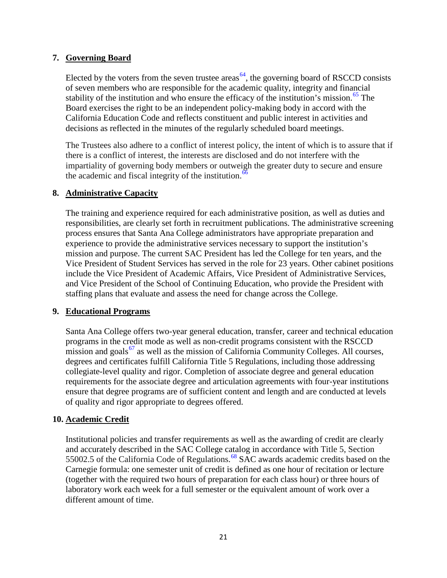### **7. Governing Board**

Elected by the voters from the seven trustee areas<sup> $64$ </sup>[,](http://www.rsccd.edu/Trustees/Board-Policies/Pages/2000/BP-2010.aspx) the governing board of RSCCD consists of seven members who are responsible for the academic quality, integrity and financial stability of the institution and who ensure the efficacy of the institution's mission.<sup>[65](#page-51-58)</sup> The Board exercises the right to be an independent policy-making body in accord with the California Education Code and reflects constituent and public interest in activities and decisions as reflected in the minutes of the regularly scheduled board meetings.

The Trustees also adhere to a conflict of interest policy, the intent of which is to assure that if there is a conflict of interest, the interests are disclosed and do not interfere with the impartiality of governing body members or outweigh the greater duty to secure and ensure the academic and fiscal integrity of the institution.<sup>[66](#page-51-59)</sup>

#### **8. Administrative Capacity**

The training and experience required for each administrative position, as well as duties and responsibilities, are clearly set forth in recruitment publications. The administrative screening process ensures that Santa Ana College administrators have appropriate preparation and experience to provide the administrative services necessary to support the institution's mission and purpose. The current SAC President has led the College for ten years, and the Vice President of Student Services has served in the role for 23 years. Other cabinet positions include the Vice President of Academic Affairs, Vice President of Administrative Services, and Vice President of the School of Continuing Education, who provide the President with staffing plans that evaluate and assess the need for change across the College.

# **9. Educational Programs**

Santa Ana College offers two-year general education, transfer, career and technical education programs in the credit mode as well as non-credit programs consistent with the RSCCD mission and goals<sup>[67](#page-51-60)</sup> as well as the mission of California Community Colleges. All courses, degrees and certificates fulfill California Title 5 Regulations, including those addressing collegiate-level quality and rigor. Completion of associate degree and general education requirements for the associate degree and articulation agreements with four-year institutions ensure that degree programs are of sufficient content and length and are conducted at levels of quality and rigor appropriate to degrees offered.

# **10. Academic Credit**

Institutional policies and transfer requirements as well as the awarding of credit are clearly and accurately described in the SAC College catalog in accordance with Title 5, Section 55002.5 of the California Code of Regulations.<sup>[68](#page-51-61)</sup> SAC awards academic credits based on the Carnegie formula: one semester unit of credit is defined as one hour of recitation or lecture (together with the required two hours of preparation for each class hour) or three hours of laboratory work each week for a full semester or the equivalent amount of work over a different amount of time.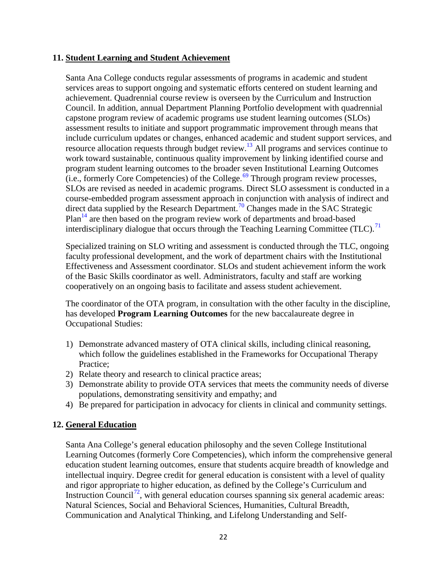#### **11. Student Learning and Student Achievement**

Santa Ana College conducts regular assessments of programs in academic and student services areas to support ongoing and systematic efforts centered on student learning and achievement. Quadrennial course review is overseen by the Curriculum and Instruction Council. In addition, annual Department Planning Portfolio development with quadrennial capstone program review of academic programs use student learning outcomes (SLOs) assessment results to initiate and support programmatic improvement through means that include curriculum updates or changes, enhanced academic and student support services, and resource allocation requests through budget review[.13](http://www.sac.edu/Program_Review/HST/OTA/Annual%20Planning%20Portfolio%20and%20Quadrennial%2019QT%20Cap/OTA_PAPR_S13.pdf) All programs and services continue to work toward sustainable, continuous quality improvement by linking identified course and program student learning outcomes to the broader seven Institutional Learning Outcomes (i.e., formerly Core Competencies) of the College.<sup>[69](#page-51-62)</sup> Through program review processes, SLOs are revised as needed in academic programs. Direct SLO assessment is conducted in a course-embedded program assessment approach in conjunction with analysis of indirect and direct data supplied by the Research Department.<sup>[70](#page-51-63)</sup> Changes made in the SAC Strategic Plan<sup>[14](http://www.sac.edu/AcademicAffairs/IEA_Office/Documents/2014-2016%20Strategic%20Plan%20Update_approved9102014.pdf)</sup> are then based on the program review work of departments and broad-based interdisciplinary dialogue that occurs through the Teaching Learning Committee (TLC).<sup>[71](#page-51-64)</sup>

Specialized training on SLO writing and assessment is conducted through the TLC, ongoing faculty professional development, and the work of department chairs with the Institutional Effectiveness and Assessment coordinator. SLOs and student achievement inform the work of the Basic Skills coordinator as well. Administrators, faculty and staff are working cooperatively on an ongoing basis to facilitate and assess student achievement.

The coordinator of the OTA program, in consultation with the other faculty in the discipline, has developed **Program Learning Outcomes** for the new baccalaureate degree in Occupational Studies:

- 1) Demonstrate advanced mastery of OTA clinical skills, including clinical reasoning, which follow the guidelines established in the Frameworks for Occupational Therapy Practice;
- 2) Relate theory and research to clinical practice areas;
- 3) Demonstrate ability to provide OTA services that meets the community needs of diverse populations, demonstrating sensitivity and empathy; and
- 4) Be prepared for participation in advocacy for clients in clinical and community settings.

# **12. General Education**

Santa Ana College's general education philosophy and the seven College Institutional Learning Outcomes (formerly Core Competencies), which inform the comprehensive general education student learning outcomes, ensure that students acquire breadth of knowledge and intellectual inquiry. Degree credit for general education is consistent with a level of quality and rigor appropriate to higher education, as defined by the College's Curriculum and Instruction Council<sup>[72](#page-51-65)</sup>[,](http://sac.edu/committees/curriculum/Documents/SAC%20Curriculum%20and%20Instruction%20Handbook%20%20Approved%202014-2015.docx) with general education courses spanning six general academic areas: Natural Sciences, Social and Behavioral Sciences, Humanities, Cultural Breadth, Communication and Analytical Thinking, and Lifelong Understanding and Self-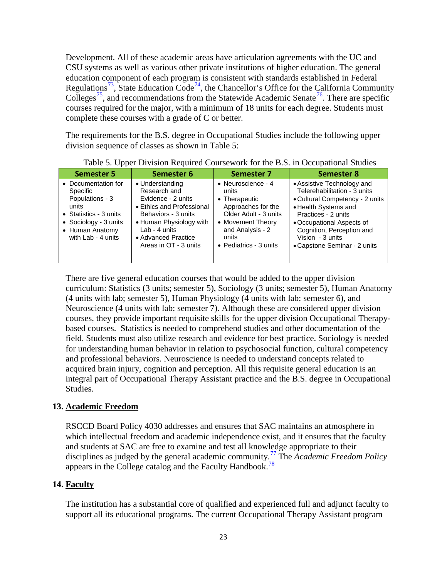Development. All of these academic areas have articulation agreements with the UC and CSU systems as well as various other private institutions of higher education. The general education component of each program is consistent with standards established in Federal Regulations<sup>[73](#page-51-66)</sup>[,](http://www.sac.edu/AcademicAffairs/Documents/CAcodes%28edc_70900-70902%29.pdf) State Education Code<sup>[7](http://www.sac.edu/AcademicAffairs/Documents/CAcodes%28edc_70900-70902%29.pdf)[4](#page-51-67)</sup>, the Chancellor's Office for the California Community Colleges<sup>[75](#page-51-68)</sup>[,](http://www.cccco.edu/) and recommendations from the Statewide Academic Senate<sup>[76](#page-51-69)</sup>[.](http://www.ccccurriculum.net/) There are specific courses required for the major, with a minimum of 18 units for each degree. Students must complete these courses with a grade of C or better.

The requirements for the B.S. degree in Occupational Studies include the following upper division sequence of classes as shown in Table 5:

| . .<br><b>Semester 5</b>                                                                                                                                  | Semester 6                                                                                                                                                                                            | <b>Semester 7</b>                                                                                                                                                               | <b>Semester 8</b>                                                                                                                                                                                                                                          |
|-----------------------------------------------------------------------------------------------------------------------------------------------------------|-------------------------------------------------------------------------------------------------------------------------------------------------------------------------------------------------------|---------------------------------------------------------------------------------------------------------------------------------------------------------------------------------|------------------------------------------------------------------------------------------------------------------------------------------------------------------------------------------------------------------------------------------------------------|
| • Documentation for<br>Specific<br>Populations - 3<br>units<br>• Statistics - $3$ units<br>• Sociology - 3 units<br>• Human Anatomy<br>with Lab - 4 units | • Understanding<br>Research and<br>Evidence - 2 units<br>• Ethics and Professional<br>Behaviors - 3 units<br>• Human Physiology with<br>Lab - 4 units<br>• Advanced Practice<br>Areas in OT - 3 units | • Neuroscience - 4<br>units<br>• Therapeutic<br>Approaches for the<br>Older Adult - 3 units<br>• Movement Theory<br>and Analysis - 2<br>units<br>$\bullet$ Pediatrics - 3 units | • Assistive Technology and<br>Telerehabilitation - 3 units<br>• Cultural Competency - 2 units<br>• Health Systems and<br>Practices - 2 units<br>• Occupational Aspects of<br>Cognition, Perception and<br>Vision - 3 units<br>• Capstone Seminar - 2 units |

Table 5. Upper Division Required Coursework for the B.S. in Occupational Studies

There are five general education courses that would be added to the upper division curriculum: Statistics (3 units; semester 5), Sociology (3 units; semester 5), Human Anatomy (4 units with lab; semester 5), Human Physiology (4 units with lab; semester 6), and Neuroscience (4 units with lab; semester 7). Although these are considered upper division courses, they provide important requisite skills for the upper division Occupational Therapybased courses. Statistics is needed to comprehend studies and other documentation of the field. Students must also utilize research and evidence for best practice. Sociology is needed for understanding human behavior in relation to psychosocial function, cultural competency and professional behaviors. Neuroscience is needed to understand concepts related to acquired brain injury, cognition and perception. All this requisite general education is an integral part of Occupational Therapy Assistant practice and the B.S. degree in Occupational Studies.

# **13. Academic Freedom**

RSCCD Board Policy 4030 addresses and ensures that SAC maintains an atmosphere in which intellectual freedom and academic independence exist, and it ensures that the faculty and students at SAC are free to examine and test all knowledge appropriate to their disciplines as judged by the general academic community.[77](#page-51-70) The *Academic Freedom Policy* appears in the College catalog and the Faculty Handbook.<sup>[78](#page-51-71)</sup>

# **14. Faculty**

The institution has a substantial core of qualified and experienced full and adjunct faculty to support all its educational programs. The current Occupational Therapy Assistant program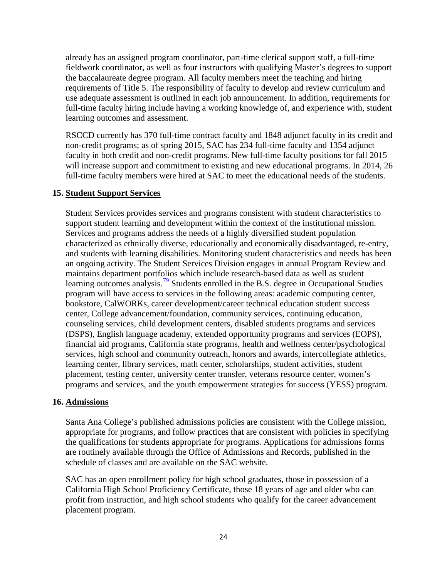already has an assigned program coordinator, part-time clerical support staff, a full-time fieldwork coordinator, as well as four instructors with qualifying Master's degrees to support the baccalaureate degree program. All faculty members meet the teaching and hiring requirements of Title 5. The responsibility of faculty to develop and review curriculum and use adequate assessment is outlined in each job announcement. In addition, requirements for full-time faculty hiring include having a working knowledge of, and experience with, student learning outcomes and assessment.

RSCCD currently has 370 full-time contract faculty and 1848 adjunct faculty in its credit and non-credit programs; as of spring 2015, SAC has 234 full-time faculty and 1354 adjunct faculty in both credit and non-credit programs. New full-time faculty positions for fall 2015 will increase support and commitment to existing and new educational programs. In 2014, 26 full-time faculty members were hired at SAC to meet the educational needs of the students.

#### **15. Student Support Services**

Student Services provides services and programs consistent with student characteristics to support student learning and development within the context of the institutional mission. Services and programs address the needs of a highly diversified student population characterized as ethnically diverse, educationally and economically disadvantaged, re-entry, and students with learning disabilities. Monitoring student characteristics and needs has been an ongoing activity. The Student Services Division engages in annual Program Review and maintains department portfolios which include research-based data as well as student learning outcomes analysis.<sup>[79](#page-51-72)</sup> Students enrolled in the B.S. degree in Occupational Studies program will have access to services in the following areas: academic computing center, bookstore, CalWORKs, career development/career technical education student success center, College advancement/foundation, community services, continuing education, counseling services, child development centers, disabled students programs and services (DSPS), English language academy, extended opportunity programs and services (EOPS), financial aid programs, California state programs, health and wellness center/psychological services, high school and community outreach, honors and awards, intercollegiate athletics, learning center, library services, math center, scholarships, student activities, student placement, testing center, university center transfer, veterans resource center, women's programs and services, and the youth empowerment strategies for success (YESS) program.

#### **16. Admissions**

Santa Ana College's published admissions policies are consistent with the College mission, appropriate for programs, and follow practices that are consistent with policies in specifying the qualifications for students appropriate for programs. Applications for admissions forms are routinely available through the Office of Admissions and Records, published in the schedule of classes and are available on the SAC website.

SAC has an open enrollment policy for high school graduates, those in possession of a California High School Proficiency Certificate, those 18 years of age and older who can profit from instruction, and high school students who qualify for the career advancement placement program.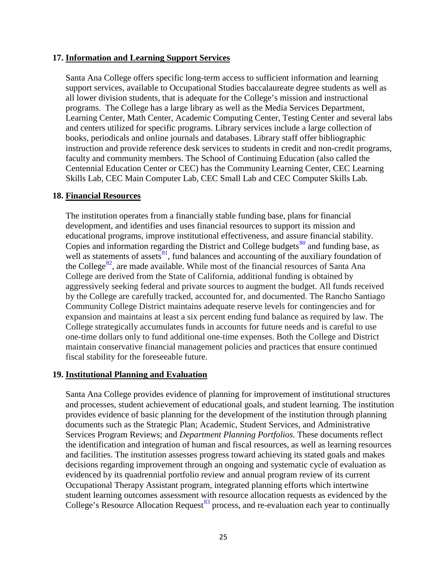#### **17. Information and Learning Support Services**

Santa Ana College offers specific long-term access to sufficient information and learning support services, available to Occupational Studies baccalaureate degree students as well as all lower division students, that is adequate for the College's mission and instructional programs. The College has a large library as well as the Media Services Department, Learning Center, Math Center, Academic Computing Center, Testing Center and several labs and centers utilized for specific programs. Library services include a large collection of books, periodicals and online journals and databases. Library staff offer bibliographic instruction and provide reference desk services to students in credit and non-credit programs, faculty and community members. The School of Continuing Education (also called the Centennial Education Center or CEC) has the Community Learning Center, CEC Learning Skills Lab, CEC Main Computer Lab, CEC Small Lab and CEC Computer Skills Lab.

#### **18. Financial Resources**

The institution operates from a financially stable funding base, plans for financial development, and identifies and uses financial resources to support its mission and educational programs, improve institutional effectiveness, and assure financial stability. Copies and information regarding the District and College budgets $^{80}$  $^{80}$  $^{80}$  and funding base, as well as statements of assets $\frac{81}{1}$  $\frac{81}{1}$  $\frac{81}{1}$ [,](http://www.rsccd.edu/Departments/Fiscal-Services/Documents/CCFS-311%20Annual%20Fiscal%20Year%202013-14.pdf) fund balances and accounting of the auxiliary foundation of the College<sup>[82](#page-51-75)</sup>[,](http://www.rsccd.edu/Departments/Fiscal-Services/Documents/FOUNDATION%20REPORTS/Santa%20Ana%20College%20Foundation%20Audit%20Report%202014.pdf) are made available. While most of the financial resources of Santa Ana College are derived from the State of California, additional funding is obtained by aggressively seeking federal and private sources to augment the budget. All funds received by the College are carefully tracked, accounted for, and documented. The Rancho Santiago Community College District maintains adequate reserve levels for contingencies and for expansion and maintains at least a six percent ending fund balance as required by law. The College strategically accumulates funds in accounts for future needs and is careful to use one-time dollars only to fund additional one-time expenses. Both the College and District maintain conservative financial management policies and practices that ensure continued fiscal stability for the foreseeable future.

#### **19. Institutional Planning and Evaluation**

Santa Ana College provides evidence of planning for improvement of institutional structures and processes, student achievement of educational goals, and student learning. The institution provides evidence of basic planning for the development of the institution through planning documents such as the Strategic Plan; Academic, Student Services, and Administrative Services Program Reviews; and *Department Planning Portfolios*. These documents reflect the identification and integration of human and fiscal resources, as well as learning resources and facilities. The institution assesses progress toward achieving its stated goals and makes decisions regarding improvement through an ongoing and systematic cycle of evaluation as evidenced by its quadrennial portfolio review and annual program review of its current Occupational Therapy Assistant program, integrated planning efforts which intertwine student learning outcomes assessment with resource allocation requests as evidenced by the College's Resource Allocation Request<sup>[83](#page-51-76)</sup> process, and re-evaluation each year to continually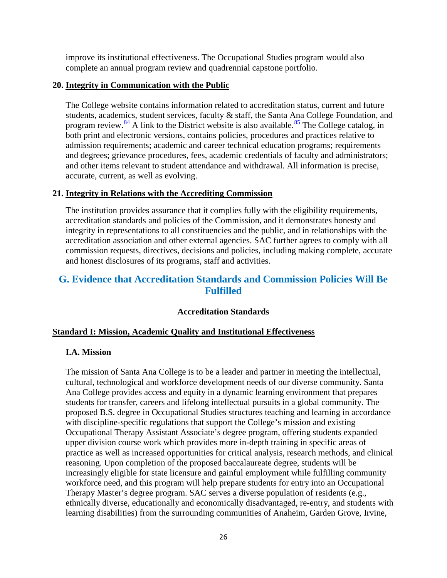improve its institutional effectiveness. The Occupational Studies program would also complete an annual program review and quadrennial capstone portfolio.

#### **20. Integrity in Communication with the Public**

The College website contains information related to accreditation status, current and future students, academics, student services, faculty & staff, the Santa Ana College Foundation, and program review.<sup>[84](#page-51-77)</sup> A link to the District website is also available.<sup>[85](#page-51-78)</sup> The College catalog, in both print and electronic versions, contains policies, procedures and practices relative to admission requirements; academic and career technical education programs; requirements and degrees; grievance procedures, fees, academic credentials of faculty and administrators; and other items relevant to student attendance and withdrawal. All information is precise, accurate, current, as well as evolving.

#### **21. Integrity in Relations with the Accrediting Commission**

The institution provides assurance that it complies fully with the eligibility requirements, accreditation standards and policies of the Commission, and it demonstrates honesty and integrity in representations to all constituencies and the public, and in relationships with the accreditation association and other external agencies. SAC further agrees to comply with all commission requests, directives, decisions and policies, including making complete, accurate and honest disclosures of its programs, staff and activities.

# **G. Evidence that Accreditation Standards and Commission Policies Will Be Fulfilled**

#### **Accreditation Standards**

# **Standard I: Mission, Academic Quality and Institutional Effectiveness**

#### **I.A. Mission**

The mission of Santa Ana College is to be a leader and partner in meeting the intellectual, cultural, technological and workforce development needs of our diverse community. Santa Ana College provides access and equity in a dynamic learning environment that prepares students for transfer, careers and lifelong intellectual pursuits in a global community. The proposed B.S. degree in Occupational Studies structures teaching and learning in accordance with discipline-specific regulations that support the College's mission and existing Occupational Therapy Assistant Associate's degree program, offering students expanded upper division course work which provides more in-depth training in specific areas of practice as well as increased opportunities for critical analysis, research methods, and clinical reasoning. Upon completion of the proposed baccalaureate degree, students will be increasingly eligible for state licensure and gainful employment while fulfilling community workforce need, and this program will help prepare students for entry into an Occupational Therapy Master's degree program. SAC serves a diverse population of residents (e.g., ethnically diverse, educationally and economically disadvantaged, re-entry, and students with learning disabilities) from the surrounding communities of Anaheim, Garden Grove, Irvine,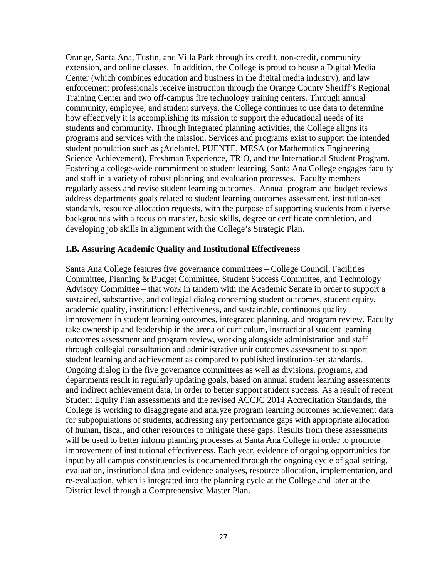Orange, Santa Ana, Tustin, and Villa Park through its credit, non-credit, community extension, and online classes. In addition, the College is proud to house a Digital Media Center (which combines education and business in the digital media industry), and law enforcement professionals receive instruction through the Orange County Sheriff's Regional Training Center and two off-campus fire technology training centers. Through annual community, employee, and student surveys, the College continues to use data to determine how effectively it is accomplishing its mission to support the educational needs of its students and community. Through integrated planning activities, the College aligns its programs and services with the mission. Services and programs exist to support the intended student population such as ¡Adelante!, PUENTE, MESA (or Mathematics Engineering Science Achievement), Freshman Experience, TRiO, and the International Student Program. Fostering a college-wide commitment to student learning, Santa Ana College engages faculty and staff in a variety of robust planning and evaluation processes. Faculty members regularly assess and revise student learning outcomes. Annual program and budget reviews address departments goals related to student learning outcomes assessment, institution-set standards, resource allocation requests, with the purpose of supporting students from diverse backgrounds with a focus on transfer, basic skills, degree or certificate completion, and developing job skills in alignment with the College's Strategic Plan.

#### **I.B. Assuring Academic Quality and Institutional Effectiveness**

Santa Ana College features five governance committees – College Council, Facilities Committee, Planning & Budget Committee, Student Success Committee, and Technology Advisory Committee – that work in tandem with the Academic Senate in order to support a sustained, substantive, and collegial dialog concerning student outcomes, student equity, academic quality, institutional effectiveness, and sustainable, continuous quality improvement in student learning outcomes, integrated planning, and program review. Faculty take ownership and leadership in the arena of curriculum, instructional student learning outcomes assessment and program review, working alongside administration and staff through collegial consultation and administrative unit outcomes assessment to support student learning and achievement as compared to published institution-set standards. Ongoing dialog in the five governance committees as well as divisions, programs, and departments result in regularly updating goals, based on annual student learning assessments and indirect achievement data, in order to better support student success. As a result of recent Student Equity Plan assessments and the revised ACCJC 2014 Accreditation Standards, the College is working to disaggregate and analyze program learning outcomes achievement data for subpopulations of students, addressing any performance gaps with appropriate allocation of human, fiscal, and other resources to mitigate these gaps. Results from these assessments will be used to better inform planning processes at Santa Ana College in order to promote improvement of institutional effectiveness. Each year, evidence of ongoing opportunities for input by all campus constituencies is documented through the ongoing cycle of goal setting, evaluation, institutional data and evidence analyses, resource allocation, implementation, and re-evaluation, which is integrated into the planning cycle at the College and later at the District level through a Comprehensive Master Plan.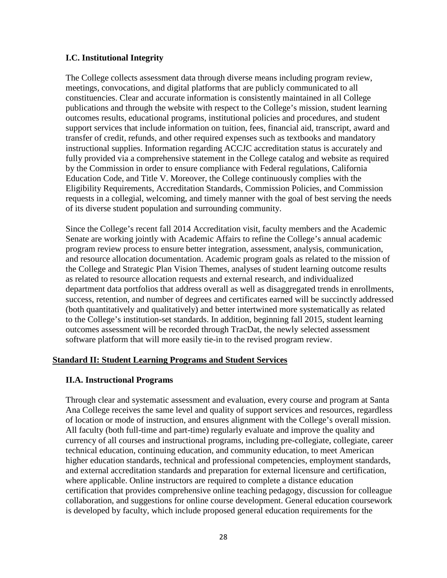#### **I.C. Institutional Integrity**

The College collects assessment data through diverse means including program review, meetings, convocations, and digital platforms that are publicly communicated to all constituencies. Clear and accurate information is consistently maintained in all College publications and through the website with respect to the College's mission, student learning outcomes results, educational programs, institutional policies and procedures, and student support services that include information on tuition, fees, financial aid, transcript, award and transfer of credit, refunds, and other required expenses such as textbooks and mandatory instructional supplies. Information regarding ACCJC accreditation status is accurately and fully provided via a comprehensive statement in the College catalog and website as required by the Commission in order to ensure compliance with Federal regulations, California Education Code, and Title V. Moreover, the College continuously complies with the Eligibility Requirements, Accreditation Standards, Commission Policies, and Commission requests in a collegial, welcoming, and timely manner with the goal of best serving the needs of its diverse student population and surrounding community.

Since the College's recent fall 2014 Accreditation visit, faculty members and the Academic Senate are working jointly with Academic Affairs to refine the College's annual academic program review process to ensure better integration, assessment, analysis, communication, and resource allocation documentation. Academic program goals as related to the mission of the College and Strategic Plan Vision Themes, analyses of student learning outcome results as related to resource allocation requests and external research, and individualized department data portfolios that address overall as well as disaggregated trends in enrollments, success, retention, and number of degrees and certificates earned will be succinctly addressed (both quantitatively and qualitatively) and better intertwined more systematically as related to the College's institution-set standards. In addition, beginning fall 2015, student learning outcomes assessment will be recorded through TracDat, the newly selected assessment software platform that will more easily tie-in to the revised program review.

#### **Standard II: Student Learning Programs and Student Services**

#### **II.A. Instructional Programs**

Through clear and systematic assessment and evaluation, every course and program at Santa Ana College receives the same level and quality of support services and resources, regardless of location or mode of instruction, and ensures alignment with the College's overall mission. All faculty (both full-time and part-time) regularly evaluate and improve the quality and currency of all courses and instructional programs, including pre-collegiate, collegiate, career technical education, continuing education, and community education, to meet American higher education standards, technical and professional competencies, employment standards, and external accreditation standards and preparation for external licensure and certification, where applicable. Online instructors are required to complete a distance education certification that provides comprehensive online teaching pedagogy, discussion for colleague collaboration, and suggestions for online course development. General education coursework is developed by faculty, which include proposed general education requirements for the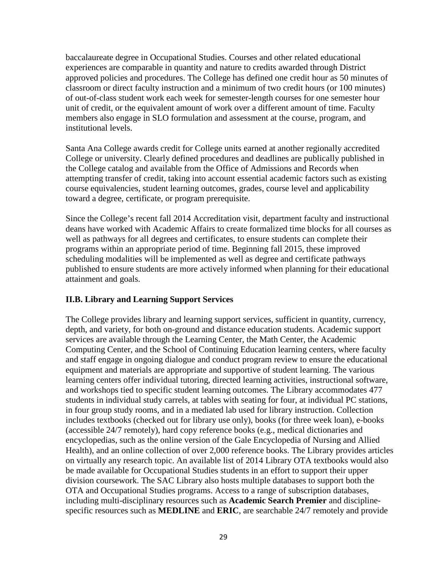baccalaureate degree in Occupational Studies. Courses and other related educational experiences are comparable in quantity and nature to credits awarded through District approved policies and procedures. The College has defined one credit hour as 50 minutes of classroom or direct faculty instruction and a minimum of two credit hours (or 100 minutes) of out-of-class student work each week for semester-length courses for one semester hour unit of credit, or the equivalent amount of work over a different amount of time. Faculty members also engage in SLO formulation and assessment at the course, program, and institutional levels.

Santa Ana College awards credit for College units earned at another regionally accredited College or university. Clearly defined procedures and deadlines are publically published in the College catalog and available from the Office of Admissions and Records when attempting transfer of credit, taking into account essential academic factors such as existing course equivalencies, student learning outcomes, grades, course level and applicability toward a degree, certificate, or program prerequisite.

Since the College's recent fall 2014 Accreditation visit, department faculty and instructional deans have worked with Academic Affairs to create formalized time blocks for all courses as well as pathways for all degrees and certificates, to ensure students can complete their programs within an appropriate period of time. Beginning fall 2015, these improved scheduling modalities will be implemented as well as degree and certificate pathways published to ensure students are more actively informed when planning for their educational attainment and goals.

# **II.B. Library and Learning Support Services**

The College provides library and learning support services, sufficient in quantity, currency, depth, and variety, for both on-ground and distance education students. Academic support services are available through the Learning Center, the Math Center, the Academic Computing Center, and the School of Continuing Education learning centers, where faculty and staff engage in ongoing dialogue and conduct program review to ensure the educational equipment and materials are appropriate and supportive of student learning. The various learning centers offer individual tutoring, directed learning activities, instructional software, and workshops tied to specific student learning outcomes. The Library accommodates 477 students in individual study carrels, at tables with seating for four, at individual PC stations, in four group study rooms, and in a mediated lab used for library instruction. Collection includes textbooks (checked out for library use only), books (for three week loan), e-books (accessible 24/7 remotely), hard copy reference books (e.g., medical dictionaries and encyclopedias, such as the online version of the Gale Encyclopedia of Nursing and Allied Health), and an online collection of over 2,000 reference books. The Library provides articles on virtually any research topic. An available list of 2014 Library OTA textbooks would also be made available for Occupational Studies students in an effort to support their upper division coursework. The SAC Library also hosts multiple databases to support both the OTA and Occupational Studies programs. Access to a range of subscription databases, including multi-disciplinary resources such as **Academic Search Premier** and disciplinespecific resources such as **MEDLINE** and **ERIC**, are searchable 24/7 remotely and provide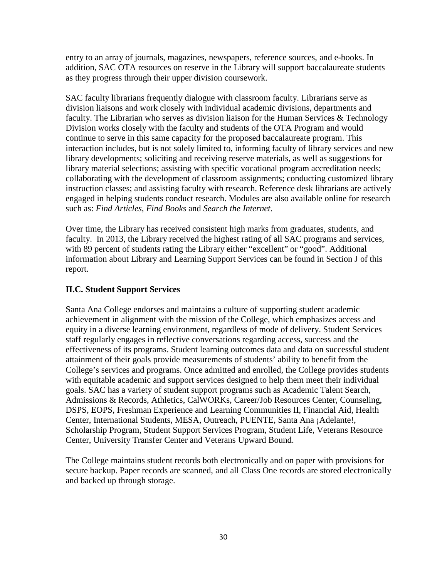entry to an array of journals, magazines, newspapers, reference sources, and e-books. In addition, SAC OTA resources on reserve in the Library will support baccalaureate students as they progress through their upper division coursework.

SAC faculty librarians frequently dialogue with classroom faculty. Librarians serve as division liaisons and work closely with individual academic divisions, departments and faculty. The Librarian who serves as division liaison for the Human Services & Technology Division works closely with the faculty and students of the OTA Program and would continue to serve in this same capacity for the proposed baccalaureate program. This interaction includes, but is not solely limited to, informing faculty of library services and new library developments; soliciting and receiving reserve materials, as well as suggestions for library material selections; assisting with specific vocational program accreditation needs; collaborating with the development of classroom assignments; conducting customized library instruction classes; and assisting faculty with research. Reference desk librarians are actively engaged in helping students conduct research. Modules are also available online for research such as: *Find Articles*, *Find Books* and *Search the Internet*.

Over time, the Library has received consistent high marks from graduates, students, and faculty. In 2013, the Library received the highest rating of all SAC programs and services, with 89 percent of students rating the Library either "excellent" or "good". Additional information about Library and Learning Support Services can be found in Section J of this report.

# **II.C. Student Support Services**

Santa Ana College endorses and maintains a culture of supporting student academic achievement in alignment with the mission of the College, which emphasizes access and equity in a diverse learning environment, regardless of mode of delivery. Student Services staff regularly engages in reflective conversations regarding access, success and the effectiveness of its programs. Student learning outcomes data and data on successful student attainment of their goals provide measurements of students' ability to benefit from the College's services and programs. Once admitted and enrolled, the College provides students with equitable academic and support services designed to help them meet their individual goals. SAC has a variety of student support programs such as Academic Talent Search, Admissions & Records, Athletics, CalWORKs, Career/Job Resources Center, Counseling, DSPS, EOPS, Freshman Experience and Learning Communities II, Financial Aid, Health Center, International Students, MESA, Outreach, PUENTE, Santa Ana ¡Adelante!, Scholarship Program, Student Support Services Program, Student Life, Veterans Resource Center, University Transfer Center and Veterans Upward Bound.

The College maintains student records both electronically and on paper with provisions for secure backup. Paper records are scanned, and all Class One records are stored electronically and backed up through storage.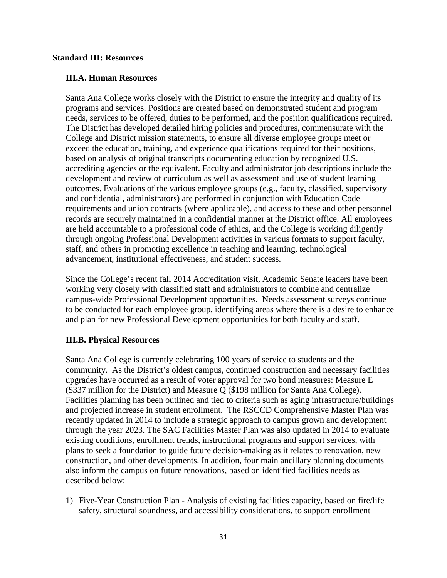#### **Standard III: Resources**

#### **III.A. Human Resources**

Santa Ana College works closely with the District to ensure the integrity and quality of its programs and services. Positions are created based on demonstrated student and program needs, services to be offered, duties to be performed, and the position qualifications required. The District has developed detailed hiring policies and procedures, commensurate with the College and District mission statements, to ensure all diverse employee groups meet or exceed the education, training, and experience qualifications required for their positions, based on analysis of original transcripts documenting education by recognized U.S. accrediting agencies or the equivalent. Faculty and administrator job descriptions include the development and review of curriculum as well as assessment and use of student learning outcomes. Evaluations of the various employee groups (e.g., faculty, classified, supervisory and confidential, administrators) are performed in conjunction with Education Code requirements and union contracts (where applicable), and access to these and other personnel records are securely maintained in a confidential manner at the District office. All employees are held accountable to a professional code of ethics, and the College is working diligently through ongoing Professional Development activities in various formats to support faculty, staff, and others in promoting excellence in teaching and learning, technological advancement, institutional effectiveness, and student success.

Since the College's recent fall 2014 Accreditation visit, Academic Senate leaders have been working very closely with classified staff and administrators to combine and centralize campus-wide Professional Development opportunities. Needs assessment surveys continue to be conducted for each employee group, identifying areas where there is a desire to enhance and plan for new Professional Development opportunities for both faculty and staff.

#### **III.B. Physical Resources**

Santa Ana College is currently celebrating 100 years of service to students and the community. As the District's oldest campus, continued construction and necessary facilities upgrades have occurred as a result of voter approval for two bond measures: Measure E (\$337 million for the District) and Measure Q (\$198 million for Santa Ana College). Facilities planning has been outlined and tied to criteria such as aging infrastructure/buildings and projected increase in student enrollment. The RSCCD Comprehensive Master Plan was recently updated in 2014 to include a strategic approach to campus grown and development through the year 2023. The SAC Facilities Master Plan was also updated in 2014 to evaluate existing conditions, enrollment trends, instructional programs and support services, with plans to seek a foundation to guide future decision-making as it relates to renovation, new construction, and other developments. In addition, four main ancillary planning documents also inform the campus on future renovations, based on identified facilities needs as described below:

1) Five-Year Construction Plan - Analysis of existing facilities capacity, based on fire/life safety, structural soundness, and accessibility considerations, to support enrollment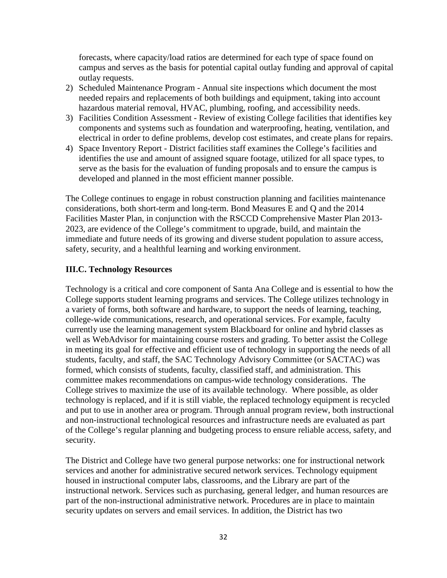forecasts, where capacity/load ratios are determined for each type of space found on campus and serves as the basis for potential capital outlay funding and approval of capital outlay requests.

- 2) Scheduled Maintenance Program Annual site inspections which document the most needed repairs and replacements of both buildings and equipment, taking into account hazardous material removal, HVAC, plumbing, roofing, and accessibility needs.
- 3) Facilities Condition Assessment Review of existing College facilities that identifies key components and systems such as foundation and waterproofing, heating, ventilation, and electrical in order to define problems, develop cost estimates, and create plans for repairs.
- 4) Space Inventory Report District facilities staff examines the College's facilities and identifies the use and amount of assigned square footage, utilized for all space types, to serve as the basis for the evaluation of funding proposals and to ensure the campus is developed and planned in the most efficient manner possible.

The College continues to engage in robust construction planning and facilities maintenance considerations, both short-term and long-term. Bond Measures E and Q and the 2014 Facilities Master Plan, in conjunction with the RSCCD Comprehensive Master Plan 2013- 2023, are evidence of the College's commitment to upgrade, build, and maintain the immediate and future needs of its growing and diverse student population to assure access, safety, security, and a healthful learning and working environment.

### **III.C. Technology Resources**

Technology is a critical and core component of Santa Ana College and is essential to how the College supports student learning programs and services. The College utilizes technology in a variety of forms, both software and hardware, to support the needs of learning, teaching, college-wide communications, research, and operational services. For example, faculty currently use the learning management system Blackboard for online and hybrid classes as well as WebAdvisor for maintaining course rosters and grading. To better assist the College in meeting its goal for effective and efficient use of technology in supporting the needs of all students, faculty, and staff, the SAC Technology Advisory Committee (or SACTAC) was formed, which consists of students, faculty, classified staff, and administration. This committee makes recommendations on campus-wide technology considerations. The College strives to maximize the use of its available technology. Where possible, as older technology is replaced, and if it is still viable, the replaced technology equipment is recycled and put to use in another area or program. Through annual program review, both instructional and non-instructional technological resources and infrastructure needs are evaluated as part of the College's regular planning and budgeting process to ensure reliable access, safety, and security.

The District and College have two general purpose networks: one for instructional network services and another for administrative secured network services. Technology equipment housed in instructional computer labs, classrooms, and the Library are part of the instructional network. Services such as purchasing, general ledger, and human resources are part of the non-instructional administrative network. Procedures are in place to maintain security updates on servers and email services. In addition, the District has two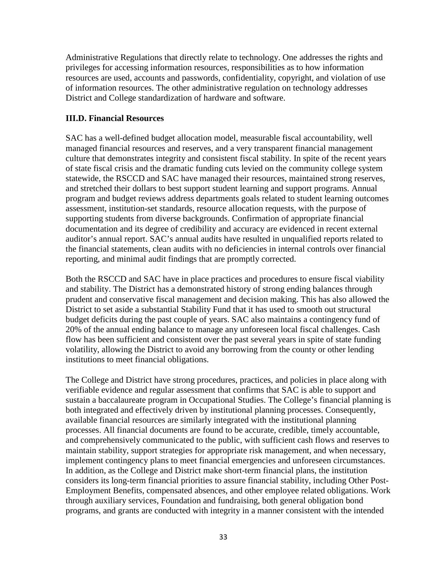Administrative Regulations that directly relate to technology. One addresses the rights and privileges for accessing information resources, responsibilities as to how information resources are used, accounts and passwords, confidentiality, copyright, and violation of use of information resources. The other administrative regulation on technology addresses District and College standardization of hardware and software.

#### **III.D. Financial Resources**

SAC has a well-defined budget allocation model, measurable fiscal accountability, well managed financial resources and reserves, and a very transparent financial management culture that demonstrates integrity and consistent fiscal stability. In spite of the recent years of state fiscal crisis and the dramatic funding cuts levied on the community college system statewide, the RSCCD and SAC have managed their resources, maintained strong reserves, and stretched their dollars to best support student learning and support programs. Annual program and budget reviews address departments goals related to student learning outcomes assessment, institution-set standards, resource allocation requests, with the purpose of supporting students from diverse backgrounds. Confirmation of appropriate financial documentation and its degree of credibility and accuracy are evidenced in recent external auditor's annual report. SAC's annual audits have resulted in unqualified reports related to the financial statements, clean audits with no deficiencies in internal controls over financial reporting, and minimal audit findings that are promptly corrected.

Both the RSCCD and SAC have in place practices and procedures to ensure fiscal viability and stability. The District has a demonstrated history of strong ending balances through prudent and conservative fiscal management and decision making. This has also allowed the District to set aside a substantial Stability Fund that it has used to smooth out structural budget deficits during the past couple of years. SAC also maintains a contingency fund of 20% of the annual ending balance to manage any unforeseen local fiscal challenges. Cash flow has been sufficient and consistent over the past several years in spite of state funding volatility, allowing the District to avoid any borrowing from the county or other lending institutions to meet financial obligations.

The College and District have strong procedures, practices, and policies in place along with verifiable evidence and regular assessment that confirms that SAC is able to support and sustain a baccalaureate program in Occupational Studies. The College's financial planning is both integrated and effectively driven by institutional planning processes. Consequently, available financial resources are similarly integrated with the institutional planning processes. All financial documents are found to be accurate, credible, timely accountable, and comprehensively communicated to the public, with sufficient cash flows and reserves to maintain stability, support strategies for appropriate risk management, and when necessary, implement contingency plans to meet financial emergencies and unforeseen circumstances. In addition, as the College and District make short-term financial plans, the institution considers its long-term financial priorities to assure financial stability, including Other Post-Employment Benefits, compensated absences, and other employee related obligations. Work through auxiliary services, Foundation and fundraising, both general obligation bond programs, and grants are conducted with integrity in a manner consistent with the intended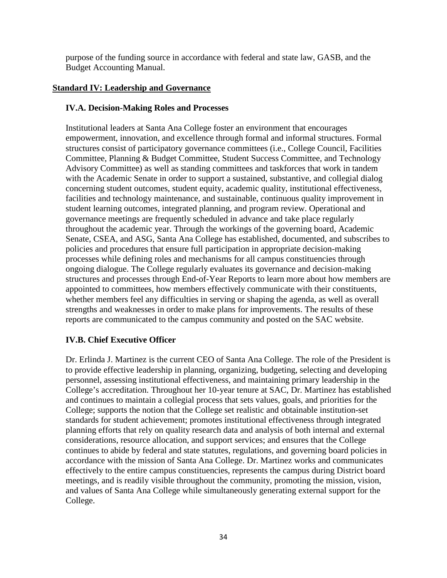purpose of the funding source in accordance with federal and state law, GASB, and the Budget Accounting Manual.

### **Standard IV: Leadership and Governance**

### **IV.A. Decision-Making Roles and Processes**

Institutional leaders at Santa Ana College foster an environment that encourages empowerment, innovation, and excellence through formal and informal structures. Formal structures consist of participatory governance committees (i.e., College Council, Facilities Committee, Planning & Budget Committee, Student Success Committee, and Technology Advisory Committee) as well as standing committees and taskforces that work in tandem with the Academic Senate in order to support a sustained, substantive, and collegial dialog concerning student outcomes, student equity, academic quality, institutional effectiveness, facilities and technology maintenance, and sustainable, continuous quality improvement in student learning outcomes, integrated planning, and program review. Operational and governance meetings are frequently scheduled in advance and take place regularly throughout the academic year. Through the workings of the governing board, Academic Senate, CSEA, and ASG, Santa Ana College has established, documented, and subscribes to policies and procedures that ensure full participation in appropriate decision-making processes while defining roles and mechanisms for all campus constituencies through ongoing dialogue. The College regularly evaluates its governance and decision-making structures and processes through End-of-Year Reports to learn more about how members are appointed to committees, how members effectively communicate with their constituents, whether members feel any difficulties in serving or shaping the agenda, as well as overall strengths and weaknesses in order to make plans for improvements. The results of these reports are communicated to the campus community and posted on the SAC website.

# **IV.B. Chief Executive Officer**

Dr. Erlinda J. Martinez is the current CEO of Santa Ana College. The role of the President is to provide effective leadership in planning, organizing, budgeting, selecting and developing personnel, assessing institutional effectiveness, and maintaining primary leadership in the College's accreditation. Throughout her 10-year tenure at SAC, Dr. Martinez has established and continues to maintain a collegial process that sets values, goals, and priorities for the College; supports the notion that the College set realistic and obtainable institution-set standards for student achievement; promotes institutional effectiveness through integrated planning efforts that rely on quality research data and analysis of both internal and external considerations, resource allocation, and support services; and ensures that the College continues to abide by federal and state statutes, regulations, and governing board policies in accordance with the mission of Santa Ana College. Dr. Martinez works and communicates effectively to the entire campus constituencies, represents the campus during District board meetings, and is readily visible throughout the community, promoting the mission, vision, and values of Santa Ana College while simultaneously generating external support for the College.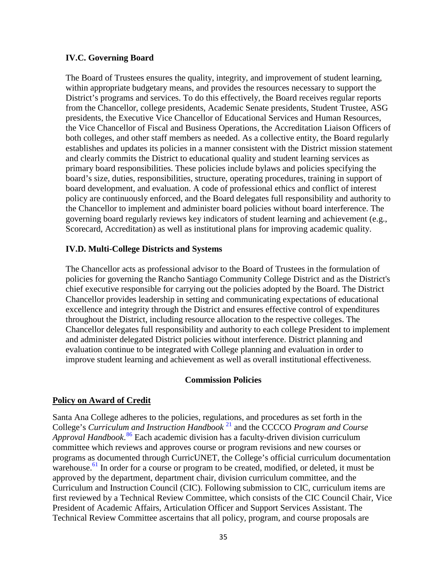#### **IV.C. Governing Board**

The Board of Trustees ensures the quality, integrity, and improvement of student learning, within appropriate budgetary means, and provides the resources necessary to support the District's programs and services. To do this effectively, the Board receives regular reports from the Chancellor, college presidents, Academic Senate presidents, Student Trustee, ASG presidents, the Executive Vice Chancellor of Educational Services and Human Resources, the Vice Chancellor of Fiscal and Business Operations, the Accreditation Liaison Officers of both colleges, and other staff members as needed. As a collective entity, the Board regularly establishes and updates its policies in a manner consistent with the District mission statement and clearly commits the District to educational quality and student learning services as primary board responsibilities. These policies include bylaws and policies specifying the board's size, duties, responsibilities, structure, operating procedures, training in support of board development, and evaluation. A code of professional ethics and conflict of interest policy are continuously enforced, and the Board delegates full responsibility and authority to the Chancellor to implement and administer board policies without board interference. The governing board regularly reviews key indicators of student learning and achievement (e.g., Scorecard, Accreditation) as well as institutional plans for improving academic quality.

#### **IV.D. Multi-College Districts and Systems**

The Chancellor acts as professional advisor to the Board of Trustees in the formulation of policies for governing the Rancho Santiago Community College District and as the District's chief executive responsible for carrying out the policies adopted by the Board. The District Chancellor provides leadership in setting and communicating expectations of educational excellence and integrity through the District and ensures effective control of expenditures throughout the District, including resource allocation to the respective colleges. The Chancellor delegates full responsibility and authority to each college President to implement and administer delegated District policies without interference. District planning and evaluation continue to be integrated with College planning and evaluation in order to improve student learning and achievement as well as overall institutional effectiveness.

#### **Commission Policies**

#### **Policy on Award of Credit**

Santa Ana College adheres to the policies, regulations, and procedures as set forth in the College's *Curriculum and Instruction Handbook* [21](http://sac.edu/committees/curriculum/Documents/SAC%20Curriculum%20and%20Instruction%20Handbook%20%20Approved%202014-2015.docx) and the CCCCO *Program and Course Approval Handbook*. [86](#page-51-79) Each academic division has a faculty-driven division curriculum committee which reviews and approves course or program revisions and new courses or programs as documented through CurricUNET, the College's official curriculum documentation warehouse.<sup>[61](http://www.curricunet.com/sac)</sup> In order for a course or program to be created, modified, or deleted, it must be approved by the department, department chair, division curriculum committee, and the Curriculum and Instruction Council (CIC). Following submission to CIC, curriculum items are first reviewed by a Technical Review Committee, which consists of the CIC Council Chair, Vice President of Academic Affairs, Articulation Officer and Support Services Assistant. The Technical Review Committee ascertains that all policy, program, and course proposals are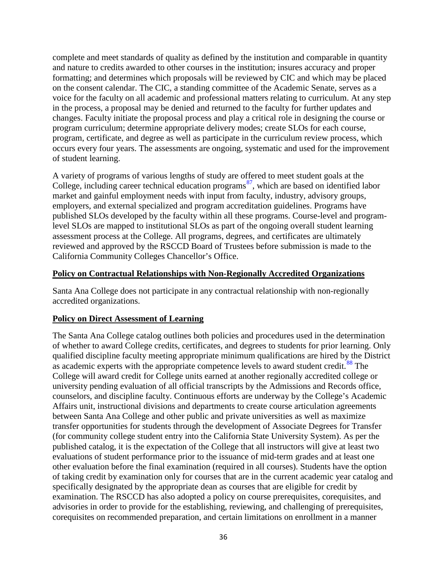complete and meet standards of quality as defined by the institution and comparable in quantity and nature to credits awarded to other courses in the institution; insures accuracy and proper formatting; and determines which proposals will be reviewed by CIC and which may be placed on the consent calendar. The CIC, a standing committee of the Academic Senate, serves as a voice for the faculty on all academic and professional matters relating to curriculum. At any step in the process, a proposal may be denied and returned to the faculty for further updates and changes. Faculty initiate the proposal process and play a critical role in designing the course or program curriculum; determine appropriate delivery modes; create SLOs for each course, program, certificate, and degree as well as participate in the curriculum review process, which occurs every four years. The assessments are ongoing, systematic and used for the improvement of student learning.

A variety of programs of various lengths of study are offered to meet student goals at the College, including career technical education programs<sup>[87](#page-51-80)</sup>[,](http://www.sac.edu/AcademicProgs/CEWD/Pages/default.aspx) which are based on identified labor market and gainful employment needs with input from faculty, industry, advisory groups, employers, and external specialized and program accreditation guidelines. Programs have published SLOs developed by the faculty within all these programs. Course-level and programlevel SLOs are mapped to institutional SLOs as part of the ongoing overall student learning assessment process at the College. All programs, degrees, and certificates are ultimately reviewed and approved by the RSCCD Board of Trustees before submission is made to the California Community Colleges Chancellor's Office.

#### **Policy on Contractual Relationships with Non-Regionally Accredited Organizations**

Santa Ana College does not participate in any contractual relationship with non-regionally accredited organizations.

#### **Policy on Direct Assessment of Learning**

The Santa Ana College catalog outlines both policies and procedures used in the determination of whether to award College credits, certificates, and degrees to students for prior learning. Only qualified discipline faculty meeting appropriate minimum qualifications are hired by the District as academic experts with the appropriate competence levels to award student credit.<sup>[88](#page-51-81)</sup> The College will award credit for College units earned at another regionally accredited college or university pending evaluation of all official transcripts by the Admissions and Records office, counselors, and discipline faculty. Continuous efforts are underway by the College's Academic Affairs unit, instructional divisions and departments to create course articulation agreements between Santa Ana College and other public and private universities as well as maximize transfer opportunities for students through the development of Associate Degrees for Transfer (for community college student entry into the California State University System). As per the published catalog, it is the expectation of the College that all instructors will give at least two evaluations of student performance prior to the issuance of mid-term grades and at least one other evaluation before the final examination (required in all courses). Students have the option of taking credit by examination only for courses that are in the current academic year catalog and specifically designated by the appropriate dean as courses that are eligible for credit by examination. The RSCCD has also adopted a policy on course prerequisites, corequisites, and advisories in order to provide for the establishing, reviewing, and challenging of prerequisites, corequisites on recommended preparation, and certain limitations on enrollment in a manner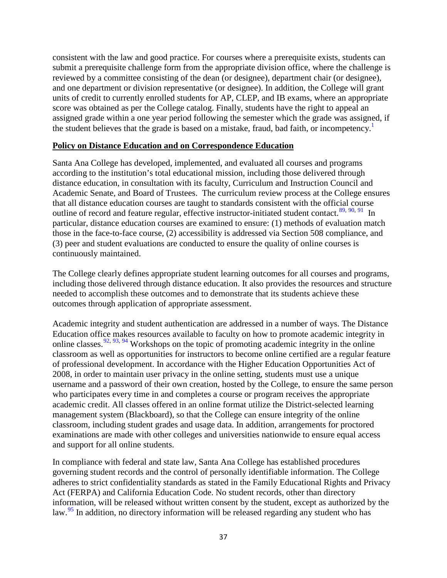consistent with the law and good practice. For courses where a prerequisite exists, students can submit a prerequisite challenge form from the appropriate division office, where the challenge is reviewed by a committee consisting of the dean (or designee), department chair (or designee), and one department or division representative (or designee). In addition, the College will grant units of credit to currently enrolled students for AP, CLEP, and IB exams, where an appropriate score was obtained as per the College catalog. Finally, students have the right to appeal an assigned grade within a one year period following the semester which the grade was assigned, if the student believes that the grade is based on a mistake, fraud, bad faith, or incompetency.<sup>[1](http://www.sac.edu/CatalogAndSchedule/Documents/2014-2015/Catalog_14-15.pdf)</sup>

#### **Policy on Distance Education and on Correspondence Education**

Santa Ana College has developed, implemented, and evaluated all courses and programs according to the institution's total educational mission, including those delivered through distance education, in consultation with its faculty, Curriculum and Instruction Council and Academic Senate, and Board of Trustees. The curriculum review process at the College ensures that all distance education courses are taught to standards consistent with the official course outline of record and feature regular, effective instructor-initiated student contact.<sup>[89](#page-51-37)[,](http://www.sac.edu/AcademicAffairs/DistanceEd/Documents/Faculty%20Resources/OnlineLearningAddendumFormSAMPLE.pdf)[90](#page-51-38), [91](#page-51-39)</sup> In particular, distance education courses are examined to ensure: (1) methods of evaluation match those in the face-to-face course, (2) accessibility is addressed via Section 508 compliance, and (3) peer and student evaluations are conducted to ensure the quality of online courses is continuously maintained.

The College clearly defines appropriate student learning outcomes for all courses and programs, including those delivered through distance education. It also provides the resources and structure needed to accomplish these outcomes and to demonstrate that its students achieve these outcomes through application of appropriate assessment.

Academic integrity and student authentication are addressed in a number of ways. The Distance Education office makes resources available to faculty on how to promote academic integrity in onlineclasses.  $92, 93, 94$  $92, 93, 94$  $92, 93, 94$  $92, 93, 94$  $92, 93, 94$  $92, 93, 94$  Workshops on the topic of promoting academic integrity in the online classroom as well as opportunities for instructors to become online certified are a regular feature of professional development. In accordance with the Higher Education Opportunities Act of 2008, in order to maintain user privacy in the online setting, students must use a unique username and a password of their own creation, hosted by the College, to ensure the same person who participates every time in and completes a course or program receives the appropriate academic credit. All classes offered in an online format utilize the District-selected learning management system (Blackboard), so that the College can ensure integrity of the online classroom, including student grades and usage data. In addition, arrangements for proctored examinations are made with other colleges and universities nationwide to ensure equal access and support for all online students.

In compliance with federal and state law, Santa Ana College has established procedures governing student records and the control of personally identifiable information. The College adheres to strict confidentiality standards as stated in the Family Educational Rights and Privacy Act (FERPA) and California Education Code. No student records, other than directory information, will be released without written consent by the student, except as authorized by the law.<sup>[95](#page-51-43)</sup> In addition, no directory information will be released regarding any student who has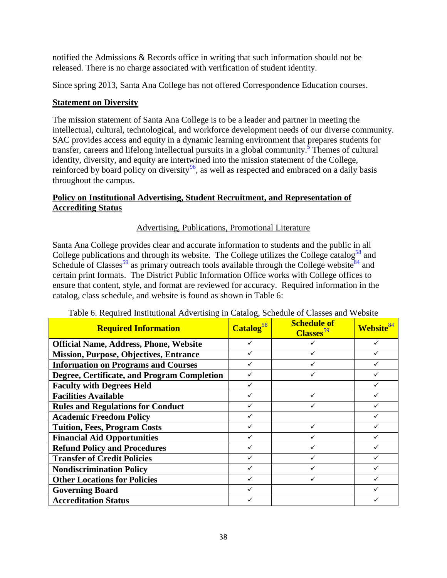notified the Admissions & Records office in writing that such information should not be released. There is no charge associated with verification of student identity.

Since spring 2013, Santa Ana College has not offered Correspondence Education courses.

### **Statement on Diversity**

The mission statement of Santa Ana College is to be a leader and partner in meeting the intellectual, cultural, technological, and workforce development needs of our diverse community. SAC provides access and equity in a dynamic learning environment that prepares students for transfer, careers and lifelong intellectual pursuits in a global community.<sup>5</sup> Themes of cultural identity, diversity, and equity are intertwined into the mission statement of the College, reinforced by board policy on diversity<sup>[96](#page-51-44)</sup>[,](http://www.rsccd.edu/Trustees/Board-Policies/Pages/7000/BP-7100.aspx) as well as respected and embraced on a daily basis throughout the campus.

# **Policy on Institutional Advertising, Student Recruitment, and Representation of Accrediting Status**

# Advertising, Publications, Promotional Literature

Santa Ana College provides clear and accurate information to students and the public in all College publications and through its website. The College utilizes the College catalog<sup>58</sup> and Schedule of Classes<sup>[59](http://www.sac.edu/CatalogAndSchedule/Pages/default.aspx)</sup> as primary outreach tools available through the College website<sup>84</sup> and certain print formats. The District Public Information Office works with College offices to ensure that content, style, and format are reviewed for accuracy. Required information in the catalog, class schedule, and website is found as shown in Table 6:

| of required momentum ride entirely in calling, beneaute or chapter and<br><b>Required Information</b> | Catalog <sup>58</sup> | <b>Schedule of</b><br>Classes <sup>59</sup> | <b>Website</b> <sup>84</sup> |
|-------------------------------------------------------------------------------------------------------|-----------------------|---------------------------------------------|------------------------------|
| <b>Official Name, Address, Phone, Website</b>                                                         | ✓                     | ✓                                           |                              |
| <b>Mission, Purpose, Objectives, Entrance</b>                                                         |                       |                                             |                              |
| <b>Information on Programs and Courses</b>                                                            |                       |                                             |                              |
| Degree, Certificate, and Program Completion                                                           |                       |                                             |                              |
| <b>Faculty with Degrees Held</b>                                                                      |                       |                                             |                              |
| <b>Facilities Available</b>                                                                           |                       |                                             |                              |
| <b>Rules and Regulations for Conduct</b>                                                              |                       |                                             |                              |
| <b>Academic Freedom Policy</b>                                                                        |                       |                                             |                              |
| <b>Tuition, Fees, Program Costs</b>                                                                   |                       | $\checkmark$                                |                              |
| <b>Financial Aid Opportunities</b>                                                                    |                       |                                             |                              |
| <b>Refund Policy and Procedures</b>                                                                   | $\checkmark$          | $\checkmark$                                |                              |
| <b>Transfer of Credit Policies</b>                                                                    | $\checkmark$          | $\checkmark$                                |                              |
| <b>Nondiscrimination Policy</b>                                                                       | $\checkmark$          | ✓                                           |                              |
| <b>Other Locations for Policies</b>                                                                   |                       |                                             |                              |
| <b>Governing Board</b>                                                                                |                       |                                             |                              |
| <b>Accreditation Status</b>                                                                           |                       |                                             |                              |

# Table 6. Required Institutional Advertising in Catalog, Schedule of Classes and Website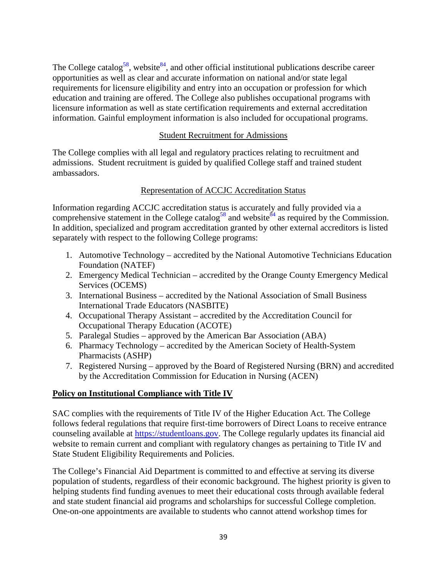The College catalog<sup>58</sup>, website<sup>84</sup>, and other official institutional publications describe career opportunities as well as clear and accurate information on national and/or state legal requirements for licensure eligibility and entry into an occupation or profession for which education and training are offered. The College also publishes occupational programs with licensure information as well as state certification requirements and external accreditation information. Gainful employment information is also included for occupational programs.

### Student Recruitment for Admissions

The College complies with all legal and regulatory practices relating to recruitment and admissions. Student recruitment is guided by qualified College staff and trained student ambassadors.

### Representation of ACCJC Accreditation Status

Information regarding ACCJC accreditation status is accurately and fully provided via a comprehensive statement in the College catalog<sup>58</sup> and website<sup>84</sup> as required by the Commission. In addition, specialized and program accreditation granted by other external accreditors is listed separately with respect to the following College programs:

- 1. Automotive Technology accredited by the National Automotive Technicians Education Foundation (NATEF)
- 2. Emergency Medical Technician accredited by the Orange County Emergency Medical Services (OCEMS)
- 3. International Business accredited by the National Association of Small Business International Trade Educators (NASBITE)
- 4. Occupational Therapy Assistant accredited by the Accreditation Council for Occupational Therapy Education (ACOTE)
- 5. Paralegal Studies approved by the American Bar Association (ABA)
- 6. Pharmacy Technology accredited by the American Society of Health-System Pharmacists (ASHP)
- 7. Registered Nursing approved by the Board of Registered Nursing (BRN) and accredited by the Accreditation Commission for Education in Nursing (ACEN)

# **Policy on Institutional Compliance with Title IV**

SAC complies with the requirements of Title IV of the Higher Education Act. The College follows federal regulations that require first-time borrowers of Direct Loans to receive entrance counseling available at [https://studentloans.gov.](https://studentloans.gov/) The College regularly updates its financial aid website to remain current and compliant with regulatory changes as pertaining to Title IV and State Student Eligibility Requirements and Policies.

The College's Financial Aid Department is committed to and effective at serving its diverse population of students, regardless of their economic background. The highest priority is given to helping students find funding avenues to meet their educational costs through available federal and state student financial aid programs and scholarships for successful College completion. One-on-one appointments are available to students who cannot attend workshop times for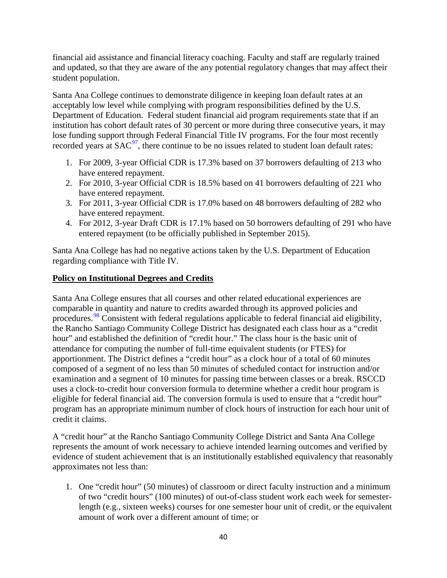financial aid assistance and financial literacy coaching. Faculty and staff are regularly trained and updated, so that they are aware of the any potential regulatory changes that may affect their student population.

Santa Ana College continues to demonstrate diligence in keeping loan default rates at an acceptably low level while complying with program responsibilities defined by the U.S. Department of Education. Federal student financial aid program requirements state that if an institution has cohort default rates of 30 percent or more during three consecutive years, it may lose funding support through Federal Financial Title IV programs. For the four most recently recorded years at  $SAC<sup>97</sup>$  $SAC<sup>97</sup>$  $SAC<sup>97</sup>$ [,](http://www.nsldsfap.ed.gov/) there continue to be no issues related to student loan default rates:

- 1. For 2009, 3-year Official CDR is 17.3% based on 37 borrowers defaulting of 213 who have entered repayment.
- 2. For 2010, 3-year Official CDR is 18.5% based on 41 borrowers defaulting of 221 who have entered repayment.
- 3. For 2011, 3-year Official CDR is 17.0% based on 48 borrowers defaulting of 282 who have entered repayment.
- 4. For 2012, 3-year Draft CDR is 17.1% based on 50 borrowers defaulting of 291 who have entered repayment (to be officially published in September 2015).

Santa Ana College has had no negative actions taken by the U.S. Department of Education regarding compliance with Title IV.

# **Policy on Institutional Degrees and Credits**

Santa Ana College ensures that all courses and other related educational experiences are comparable in quantity and nature to credits awarded through its approved policies and procedures.<sup>[98](#page-51-46)</sup> Consistent with federal regulations applicable to federal financial aid eligibility, the Rancho Santiago Community College District has designated each class hour as a "credit hour" and established the definition of "credit hour." The class hour is the basic unit of attendance for computing the number of full-time equivalent students (or FTES) for apportionment. The District defines a "credit hour" as a clock hour of a total of 60 minutes composed of a segment of no less than 50 minutes of scheduled contact for instruction and/or examination and a segment of 10 minutes for passing time between classes or a break. RSCCD uses a clock-to-credit hour conversion formula to determine whether a credit hour program is eligible for federal financial aid. The conversion formula is used to ensure that a "credit hour" program has an appropriate minimum number of clock hours of instruction for each hour unit of credit it claims.

A "credit hour" at the Rancho Santiago Community College District and Santa Ana College represents the amount of work necessary to achieve intended learning outcomes and verified by evidence of student achievement that is an institutionally established equivalency that reasonably approximates not less than:

1. One "credit hour" (50 minutes) of classroom or direct faculty instruction and a minimum of two "credit hours" (100 minutes) of out-of-class student work each week for semesterlength (e.g., sixteen weeks) courses for one semester hour unit of credit, or the equivalent amount of work over a different amount of time; or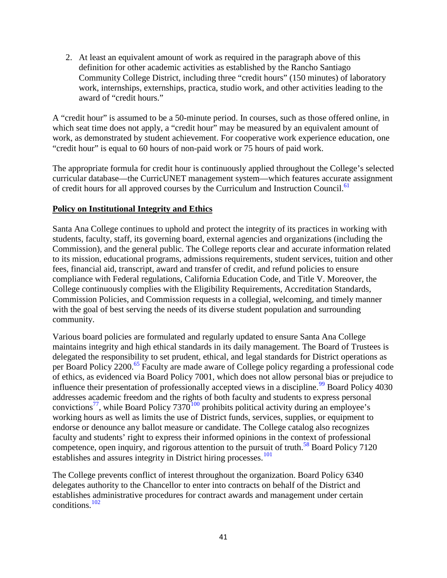2. At least an equivalent amount of work as required in the paragraph above of this definition for other academic activities as established by the Rancho Santiago Community College District, including three "credit hours" (150 minutes) of laboratory work, internships, externships, practica, studio work, and other activities leading to the award of "credit hours."

A "credit hour" is assumed to be a 50-minute period. In courses, such as those offered online, in which seat time does not apply, a "credit hour" may be measured by an equivalent amount of work, as demonstrated by student achievement. For cooperative work experience education, one "credit hour" is equal to 60 hours of non-paid work or 75 hours of paid work.

The appropriate formula for credit hour is continuously applied throughout the College's selected curricular database—the CurricUNET management system—which features accurate assignment of credit hours for all approved courses by the Curriculum and Instruction Council.<sup>61</sup>

### **Policy on Institutional Integrity and Ethics**

Santa Ana College continues to uphold and protect the integrity of its practices in working with students, faculty, staff, its governing board, external agencies and organizations (including the Commission), and the general public. The College reports clear and accurate information related to its mission, educational programs, admissions requirements, student services, tuition and other fees, financial aid, transcript, award and transfer of credit, and refund policies to ensure compliance with Federal regulations, California Education Code, and Title V. Moreover, the College continuously complies with the Eligibility Requirements, Accreditation Standards, Commission Policies, and Commission requests in a collegial, welcoming, and timely manner with the goal of best serving the needs of its diverse student population and surrounding community.

Various board policies are formulated and regularly updated to ensure Santa Ana College maintains integrity and high ethical standards in its daily management. The Board of Trustees is delegated the responsibility to set prudent, ethical, and legal standards for District operations as per Board Policy 2200.<sup>65</sup> Faculty are made aware of College policy regarding a professional code of ethics, as evidenced via Board Policy 7001, which does not allow personal bias or prejudice to influence their presentation of professionally accepted views in a discipline.<sup>[99](#page-51-47)</sup> Board Policy  $4030$ addresses academic freedom and the rights of both faculty and students to express personal convictions<sup>77</sup>, while Board Policy 737[0](http://www.rsccd.edu/Trustees/Board-Policies/Pages/7000/BP-7370.aspx)<sup>[100](#page-51-48)</sup> prohibits political activity during an employee's working hours as well as limits the use of District funds, services, supplies, or equipment to endorse or denounce any ballot measure or candidate. The College catalog also recognizes faculty and students' right to express their informed opinions in the context of professional competence, open inquiry, and rigorous attention to the pursuit of truth.<sup>58</sup> Board Policy 7120 establishes and assures integrity in District hiring processes.<sup>[101](#page-51-49)</sup>

The College prevents conflict of interest throughout the organization. Board Policy 6340 delegates authority to the Chancellor to enter into contracts on behalf of the District and establishes administrative procedures for contract awards and management under certain conditions.[1](http://www.rsccd.edu/Trustees/Board-Policies/Pages/6000/BP-6340.aspx)[02](#page-51-50)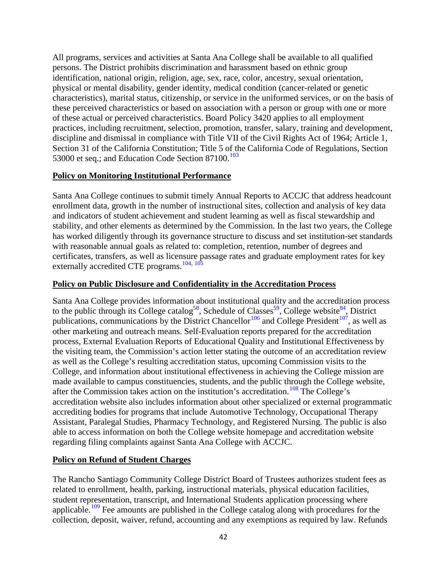All programs, services and activities at Santa Ana College shall be available to all qualified persons. The District prohibits discrimination and harassment based on ethnic group identification, national origin, religion, age, sex, race, color, ancestry, sexual orientation, physical or mental disability, gender identity, medical condition (cancer-related or genetic characteristics), marital status, citizenship, or service in the uniformed services, or on the basis of these perceived characteristics or based on association with a person or group with one or more of these actual or perceived characteristics. Board Policy 3420 applies to all employment practices, including recruitment, selection, promotion, transfer, salary, training and development, discipline and dismissal in compliance with Title VII of the Civil Rights Act of 1964; Article 1, Section 31 of the California Constitution; Title 5 of the California Code of Regulations, Section 53000 et seq.; and Education Code Section  $87100$ .<sup>[103](#page-51-51)</sup>

#### **Policy on Monitoring Institutional Performance**

Santa Ana College continues to submit timely Annual Reports to ACCJC that address headcount enrollment data, growth in the number of instructional sites, collection and analysis of key data and indicators of student achievement and student learning as well as fiscal stewardship and stability, and other elements as determined by the Commission. In the last two years, the College has worked diligently through its governance structure to discuss and set institution-set standards with reasonable annual goals as related to: completion, retention, number of degrees and certificates, transfers, as well as licensure passage rates and graduate employment rates for key externally accredited CTE programs.<sup>[104](#page-51-52)[,](http://www.sac.edu/President/collegecouncil/Documents/2015/Min-Nov-26-2014.pdf) [1](http://www.sac.edu/AcademicAffairs/Documents/Academic%20Affairs%20Advisory%20Council/Accreditation%20Presentation%20of%20New%20Standards%203AC%20February%202015%20FINAL.pdf)[05](#page-51-54)</sup>

#### **Policy on Public Disclosure and Confidentiality in the Accreditation Process**

Santa Ana College provides information about institutional quality and the accreditation process to the public through its College catalog<sup>58</sup>, Schedule of Classes<sup>59</sup>, College website<sup>84</sup>, District publications, communications by the District Chancellor<sup>[106](#page-51-56)</sup> and College President<sup>[107](#page-51-57)</sup>[,](http://www.sac.edu/President/Documents/Notes/2014/november20.htm) as well as other marketing and outreach means. Self-Evaluation reports prepared for the accreditation process, External Evaluation Reports of Educational Quality and Institutional Effectiveness by the visiting team, the Commission's action letter stating the outcome of an accreditation review as well as the College's resulting accreditation status, upcoming Commission visits to the College, and information about institutional effectiveness in achieving the College mission are made available to campus constituencies, students, and the public through the College website, after the Commission takes action on the institution's accreditation.<sup>[108](#page-51-58)</sup> The College's accreditation website also includes information about other specialized or external programmatic accrediting bodies for programs that include Automotive Technology, Occupational Therapy Assistant, Paralegal Studies, Pharmacy Technology, and Registered Nursing. The public is also able to access information on both the College website homepage and accreditation website regarding filing complaints against Santa Ana College with ACCJC.

# **Policy on Refund of Student Charges**

The Rancho Santiago Community College District Board of Trustees authorizes student fees as related to enrollment, health, parking, instructional materials, physical education facilities, student representation, transcript, and International Students application processing where applicable.<sup>[109](#page-51-59)</sup> Fee amounts are published in the College catalog along with procedures for the collection, deposit, waiver, refund, accounting and any exemptions as required by law. Refunds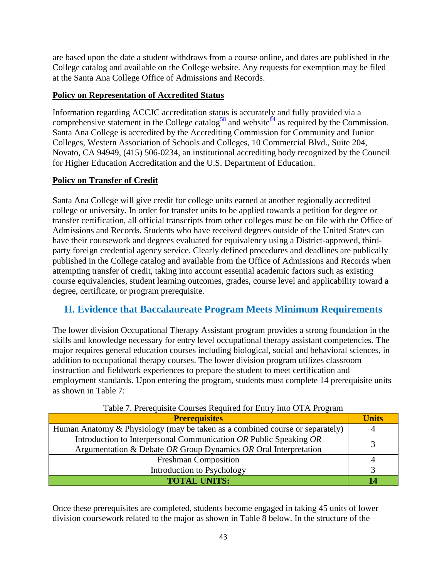are based upon the date a student withdraws from a course online, and dates are published in the College catalog and available on the College website. Any requests for exemption may be filed at the Santa Ana College Office of Admissions and Records.

# **Policy on Representation of Accredited Status**

Information regarding ACCJC accreditation status is accurately and fully provided via a comprehensive statement in the College catalog<sup>58</sup> and website<sup>84</sup> as required by the Commission. Santa Ana College is accredited by the Accrediting Commission for Community and Junior Colleges, Western Association of Schools and Colleges, 10 Commercial Blvd., Suite 204, Novato, CA 94949, (415) 506-0234, an institutional accrediting body recognized by the Council for Higher Education Accreditation and the U.S. Department of Education.

# **Policy on Transfer of Credit**

Santa Ana College will give credit for college units earned at another regionally accredited college or university. In order for transfer units to be applied towards a petition for degree or transfer certification, all official transcripts from other colleges must be on file with the Office of Admissions and Records. Students who have received degrees outside of the United States can have their coursework and degrees evaluated for equivalency using a District-approved, thirdparty foreign credential agency service. Clearly defined procedures and deadlines are publically published in the College catalog and available from the Office of Admissions and Records when attempting transfer of credit, taking into account essential academic factors such as existing course equivalencies, student learning outcomes, grades, course level and applicability toward a degree, certificate, or program prerequisite.

# **H. Evidence that Baccalaureate Program Meets Minimum Requirements**

The lower division Occupational Therapy Assistant program provides a strong foundation in the skills and knowledge necessary for entry level occupational therapy assistant competencies. The major requires general education courses including biological, social and behavioral sciences, in addition to occupational therapy courses. The lower division program utilizes classroom instruction and fieldwork experiences to prepare the student to meet certification and employment standards. Upon entering the program, students must complete 14 prerequisite units as shown in Table 7:

| <b>Prerequisites</b>                                                         | <b>Units</b> |
|------------------------------------------------------------------------------|--------------|
| Human Anatomy & Physiology (may be taken as a combined course or separately) |              |
| Introduction to Interpersonal Communication OR Public Speaking OR            |              |
| Argumentation & Debate OR Group Dynamics OR Oral Interpretation              |              |
| <b>Freshman Composition</b>                                                  |              |
| Introduction to Psychology                                                   |              |
| <b>TOTAL UNITS:</b>                                                          |              |

Table 7. Prerequisite Courses Required for Entry into OTA Program

Once these prerequisites are completed, students become engaged in taking 45 units of lower division coursework related to the major as shown in Table 8 below. In the structure of the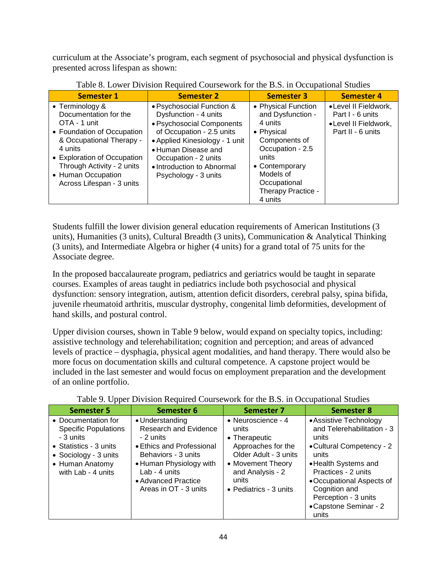curriculum at the Associate's program, each segment of psychosocial and physical dysfunction is presented across lifespan as shown:

| Tuele of Lower Division Required Could wont for the Dior in Overputional Diameter                                                                                                                                                             |                                                                                                                                                                                                                                                     |                                                                                                                                                                                                 |                                                                                       |  |
|-----------------------------------------------------------------------------------------------------------------------------------------------------------------------------------------------------------------------------------------------|-----------------------------------------------------------------------------------------------------------------------------------------------------------------------------------------------------------------------------------------------------|-------------------------------------------------------------------------------------------------------------------------------------------------------------------------------------------------|---------------------------------------------------------------------------------------|--|
| <b>Semester 1</b>                                                                                                                                                                                                                             | <b>Semester 2</b>                                                                                                                                                                                                                                   | <b>Semester 3</b>                                                                                                                                                                               | <b>Semester 4</b>                                                                     |  |
| • Terminology &<br>Documentation for the<br>OTA - 1 unit<br>• Foundation of Occupation<br>& Occupational Therapy -<br>4 units<br>• Exploration of Occupation<br>Through Activity - 2 units<br>• Human Occupation<br>Across Lifespan - 3 units | • Psychosocial Function &<br>Dysfunction - 4 units<br>· Psychosocial Components<br>of Occupation - 2.5 units<br>• Applied Kinesiology - 1 unit<br>• Human Disease and<br>Occupation - 2 units<br>• Introduction to Abnormal<br>Psychology - 3 units | • Physical Function<br>and Dysfunction -<br>4 units<br>• Physical<br>Components of<br>Occupation - 2.5<br>units<br>• Contemporary<br>Models of<br>Occupational<br>Therapy Practice -<br>4 units | •Level II Fieldwork,<br>Part I - 6 units<br>•Level II Fieldwork,<br>Part II - 6 units |  |

Table 8. Lower Division Required Coursework for the B.S. in Occupational Studies

Students fulfill the lower division general education requirements of American Institutions (3 units), Humanities (3 units), Cultural Breadth (3 units), Communication & Analytical Thinking (3 units), and Intermediate Algebra or higher (4 units) for a grand total of 75 units for the Associate degree.

In the proposed baccalaureate program, pediatrics and geriatrics would be taught in separate courses. Examples of areas taught in pediatrics include both psychosocial and physical dysfunction: sensory integration, autism, attention deficit disorders, cerebral palsy, spina bifida, juvenile rheumatoid arthritis, muscular dystrophy, congenital limb deformities, development of hand skills, and postural control.

Upper division courses, shown in Table 9 below, would expand on specialty topics, including: assistive technology and telerehabilitation; cognition and perception; and areas of advanced levels of practice – dysphagia, physical agent modalities, and hand therapy. There would also be more focus on documentation skills and cultural competence. A capstone project would be included in the last semester and would focus on employment preparation and the development of an online portfolio.

| <b>Semester 5</b>                                                                                                                                             | Semester 6                                                                                                                                                                                            | <b>Semester 7</b>                                                                                                                                                               | <b>Semester 8</b>                                                                                                                                                                                                                                          |
|---------------------------------------------------------------------------------------------------------------------------------------------------------------|-------------------------------------------------------------------------------------------------------------------------------------------------------------------------------------------------------|---------------------------------------------------------------------------------------------------------------------------------------------------------------------------------|------------------------------------------------------------------------------------------------------------------------------------------------------------------------------------------------------------------------------------------------------------|
| • Documentation for<br><b>Specific Populations</b><br>- 3 units<br>• Statistics - $3$ units<br>• Sociology - 3 units<br>• Human Anatomy<br>with Lab - 4 units | • Understanding<br>Research and Evidence<br>- 2 units<br>• Ethics and Professional<br>Behaviors - 3 units<br>• Human Physiology with<br>Lab - 4 units<br>• Advanced Practice<br>Areas in OT - 3 units | • Neuroscience - 4<br>units<br>• Therapeutic<br>Approaches for the<br>Older Adult - 3 units<br>• Movement Theory<br>and Analysis - 2<br>units<br>$\bullet$ Pediatrics - 3 units | • Assistive Technology<br>and Telerehabilitation - 3<br>units<br>• Cultural Competency - 2<br>units<br>• Health Systems and<br>Practices - 2 units<br>• Occupational Aspects of<br>Cognition and<br>Perception - 3 units<br>•Capstone Seminar - 2<br>units |

Table 9. Upper Division Required Coursework for the B.S. in Occupational Studies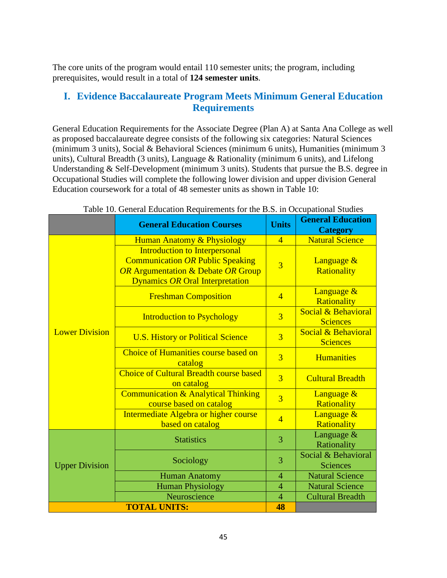The core units of the program would entail 110 semester units; the program, including prerequisites, would result in a total of **124 semester units**.

# **I. Evidence Baccalaureate Program Meets Minimum General Education Requirements**

General Education Requirements for the Associate Degree (Plan A) at Santa Ana College as well as proposed baccalaureate degree consists of the following six categories: Natural Sciences (minimum 3 units), Social & Behavioral Sciences (minimum 6 units), Humanities (minimum 3 units), Cultural Breadth (3 units), Language & Rationality (minimum 6 units), and Lifelong Understanding & Self-Development (minimum 3 units). Students that pursue the B.S. degree in Occupational Studies will complete the following lower division and upper division General Education coursework for a total of 48 semester units as shown in Table 10:

|                       | <b>General Education Courses</b>                                                                                                                                           | <b>Units</b>   | <b>General Education</b><br><b>Category</b> |
|-----------------------|----------------------------------------------------------------------------------------------------------------------------------------------------------------------------|----------------|---------------------------------------------|
|                       | <b>Human Anatomy &amp; Physiology</b>                                                                                                                                      | $\overline{4}$ | <b>Natural Science</b>                      |
|                       | <b>Introduction to Interpersonal</b><br><b>Communication OR Public Speaking</b><br><b>OR Argumentation &amp; Debate OR Group</b><br><b>Dynamics OR Oral Interpretation</b> | $\overline{3}$ | Language &<br>Rationality                   |
|                       | <b>Freshman Composition</b>                                                                                                                                                | $\overline{4}$ | Language &<br>Rationality                   |
|                       | <b>Introduction to Psychology</b>                                                                                                                                          | $\overline{3}$ | Social & Behavioral<br><b>Sciences</b>      |
| <b>Lower Division</b> | <b>U.S. History or Political Science</b>                                                                                                                                   | $\overline{3}$ | Social & Behavioral<br><b>Sciences</b>      |
|                       | Choice of Humanities course based on<br>catalog                                                                                                                            | $\overline{3}$ | <b>Humanities</b>                           |
|                       | <b>Choice of Cultural Breadth course based</b><br>on catalog                                                                                                               | $\overline{3}$ | <b>Cultural Breadth</b>                     |
|                       | <b>Communication &amp; Analytical Thinking</b><br>course based on catalog                                                                                                  | $\overline{3}$ | Language &<br>Rationality                   |
|                       | Intermediate Algebra or higher course<br>based on catalog                                                                                                                  | $\overline{4}$ | Language &<br><b>Rationality</b>            |
|                       | <b>Statistics</b>                                                                                                                                                          | 3              | Language $&$<br>Rationality                 |
| <b>Upper Division</b> | Sociology                                                                                                                                                                  | 3              | Social & Behavioral<br><b>Sciences</b>      |
|                       | <b>Human Anatomy</b>                                                                                                                                                       | $\overline{4}$ | <b>Natural Science</b>                      |
|                       | <b>Human Physiology</b>                                                                                                                                                    | $\overline{4}$ | <b>Natural Science</b>                      |
|                       | Neuroscience                                                                                                                                                               | $\overline{4}$ | <b>Cultural Breadth</b>                     |
|                       | <b>TOTAL UNITS:</b>                                                                                                                                                        | 48             |                                             |

#### Table 10. General Education Requirements for the B.S. in Occupational Studies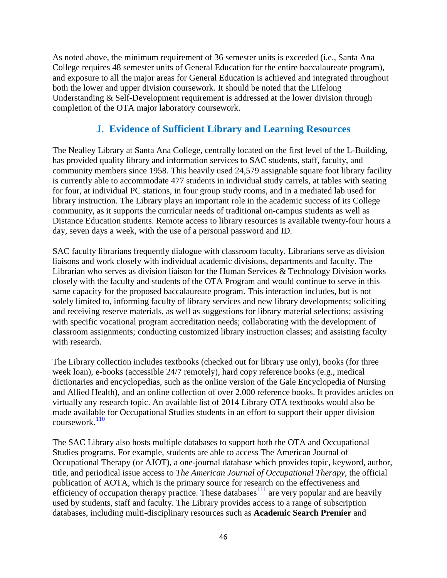As noted above, the minimum requirement of 36 semester units is exceeded (i.e., Santa Ana College requires 48 semester units of General Education for the entire baccalaureate program), and exposure to all the major areas for General Education is achieved and integrated throughout both the lower and upper division coursework. It should be noted that the Lifelong Understanding & Self-Development requirement is addressed at the lower division through completion of the OTA major laboratory coursework.

# **J. Evidence of Sufficient Library and Learning Resources**

The Nealley Library at Santa Ana College, centrally located on the first level of the L-Building, has provided quality library and information services to SAC students, staff, faculty, and community members since 1958. This heavily used 24,579 assignable square foot library facility is currently able to accommodate 477 students in individual study carrels, at tables with seating for four, at individual PC stations, in four group study rooms, and in a mediated lab used for library instruction. The Library plays an important role in the academic success of its College community, as it supports the curricular needs of traditional on-campus students as well as Distance Education students. Remote access to library resources is available twenty-four hours a day, seven days a week, with the use of a personal password and ID.

SAC faculty librarians frequently dialogue with classroom faculty. Librarians serve as division liaisons and work closely with individual academic divisions, departments and faculty. The Librarian who serves as division liaison for the Human Services & Technology Division works closely with the faculty and students of the OTA Program and would continue to serve in this same capacity for the proposed baccalaureate program. This interaction includes, but is not solely limited to, informing faculty of library services and new library developments; soliciting and receiving reserve materials, as well as suggestions for library material selections; assisting with specific vocational program accreditation needs; collaborating with the development of classroom assignments; conducting customized library instruction classes; and assisting faculty with research.

The Library collection includes textbooks (checked out for library use only), books (for three week loan), e-books (accessible 24/7 remotely), hard copy reference books (e.g., medical dictionaries and encyclopedias, such as the online version of the Gale Encyclopedia of Nursing and Allied Health), and an online collection of over 2,000 reference books. It provides articles on virtually any research topic. An available list of 2014 Library OTA textbooks would also be made available for Occupational Studies students in an effort to support their upper division  $conveswork<sup>110</sup>$  $conveswork<sup>110</sup>$  $conveswork<sup>110</sup>$ 

The SAC Library also hosts multiple databases to support both the OTA and Occupational Studies programs. For example, students are able to access The American Journal of Occupational Therapy (or AJOT), a one-journal database which provides topic, keyword, author, title, and periodical issue access to *The American Journal of Occupational Therapy*, the official publication of AOTA, which is the primary source for research on the effectiveness and efficiency of occupation therapy practice. These databases  $\frac{111}{11}$  $\frac{111}{11}$  $\frac{111}{11}$  $\frac{111}{11}$  are very popular and are heavily used by students, staff and faculty. The Library provides access to a range of subscription databases, including multi-disciplinary resources such as **Academic Search Premier** and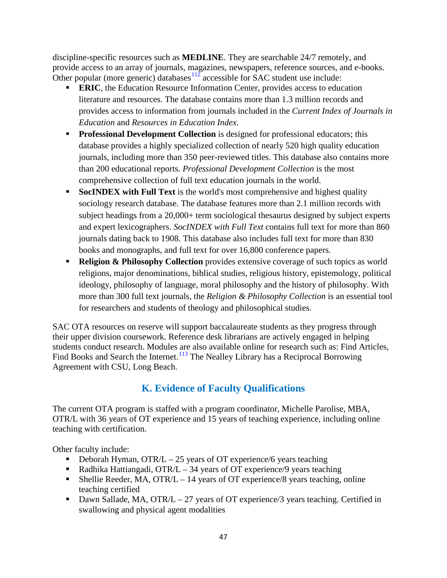discipline-specific resources such as **MEDLINE**. They are searchable 24/7 remotely, and provide access to an array of journals, magazines, newspapers, reference sources, and e-books. Other popular (more generic) databases  $112$  accessible for SAC student use include:

- **ERIC**, the Education Resource Information Center, provides access to education literature and resources. The database contains more than 1.3 million records and provides access to information from journals included in the *Current Index of Journals in Education* and *Resources in Education Index*.
- **Professional Development Collection** is designed for professional educators; this database provides a highly specialized collection of nearly 520 high quality education journals, including more than 350 peer-reviewed titles. This database also contains more than 200 educational reports. *Professional Development Collection* is the most comprehensive collection of full text education journals in the world.
- **SocINDEX with Full Text** is the world's most comprehensive and highest quality sociology research database. The database features more than 2.1 million records with subject headings from a 20,000+ term sociological thesaurus designed by subject experts and expert lexicographers. *SocINDEX with Full Text* contains full text for more than 860 journals dating back to 1908. This database also includes full text for more than 830 books and monographs, and full text for over 16,800 conference papers.
- **Religion & Philosophy Collection** provides extensive coverage of such topics as world religions, major denominations, biblical studies, religious history, epistemology, political ideology, philosophy of language, moral philosophy and the history of philosophy. With more than 300 full text journals, the *Religion & Philosophy Collection* is an essential tool for researchers and students of theology and philosophical studies.

SAC OTA resources on reserve will support baccalaureate students as they progress through their upper division coursework. Reference desk librarians are actively engaged in helping students conduct research. Modules are also available online for research such as: Find Articles, Find Books and Search the Internet.<sup>[113](#page-51-63)</sup> The Nealley Library has a Reciprocal Borrowing Agreement with CSU, Long Beach.

# **K. Evidence of Faculty Qualifications**

The current OTA program is staffed with a program coordinator, Michelle Parolise, MBA, OTR/L with 36 years of OT experience and 15 years of teaching experience, including online teaching with certification.

Other faculty include:

- Deborah Hyman,  $\text{OTR/L} 25$  years of OT experience/6 years teaching
- Radhika Hattiangadi, OTR/ $L 34$  years of OT experience/9 years teaching
- Shellie Reeder, MA, OTR/L 14 years of OT experience/8 years teaching, online teaching certified
- Dawn Sallade, MA, OTR/L 27 years of OT experience/3 years teaching. Certified in swallowing and physical agent modalities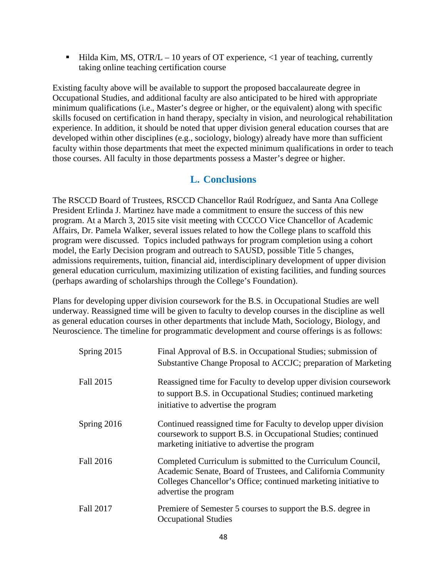$\blacksquare$  Hilda Kim, MS, OTR/L – 10 years of OT experience, <1 year of teaching, currently taking online teaching certification course

Existing faculty above will be available to support the proposed baccalaureate degree in Occupational Studies, and additional faculty are also anticipated to be hired with appropriate minimum qualifications (i.e., Master's degree or higher, or the equivalent) along with specific skills focused on certification in hand therapy, specialty in vision, and neurological rehabilitation experience. In addition, it should be noted that upper division general education courses that are developed within other disciplines (e.g., sociology, biology) already have more than sufficient faculty within those departments that meet the expected minimum qualifications in order to teach those courses. All faculty in those departments possess a Master's degree or higher.

# **L. Conclusions**

The RSCCD Board of Trustees, RSCCD Chancellor Raúl Rodríguez, and Santa Ana College President Erlinda J. Martinez have made a commitment to ensure the success of this new program. At a March 3, 2015 site visit meeting with CCCCO Vice Chancellor of Academic Affairs, Dr. Pamela Walker, several issues related to how the College plans to scaffold this program were discussed. Topics included pathways for program completion using a cohort model, the Early Decision program and outreach to SAUSD, possible Title 5 changes, admissions requirements, tuition, financial aid, interdisciplinary development of upper division general education curriculum, maximizing utilization of existing facilities, and funding sources (perhaps awarding of scholarships through the College's Foundation).

Plans for developing upper division coursework for the B.S. in Occupational Studies are well underway. Reassigned time will be given to faculty to develop courses in the discipline as well as general education courses in other departments that include Math, Sociology, Biology, and Neuroscience. The timeline for programmatic development and course offerings is as follows:

| Spring 2015      | Final Approval of B.S. in Occupational Studies; submission of<br>Substantive Change Proposal to ACCJC; preparation of Marketing                                                                                          |
|------------------|--------------------------------------------------------------------------------------------------------------------------------------------------------------------------------------------------------------------------|
| Fall 2015        | Reassigned time for Faculty to develop upper division coursework<br>to support B.S. in Occupational Studies; continued marketing<br>initiative to advertise the program                                                  |
| Spring 2016      | Continued reassigned time for Faculty to develop upper division<br>coursework to support B.S. in Occupational Studies; continued<br>marketing initiative to advertise the program                                        |
| Fall 2016        | Completed Curriculum is submitted to the Curriculum Council,<br>Academic Senate, Board of Trustees, and California Community<br>Colleges Chancellor's Office; continued marketing initiative to<br>advertise the program |
| <b>Fall 2017</b> | Premiere of Semester 5 courses to support the B.S. degree in<br><b>Occupational Studies</b>                                                                                                                              |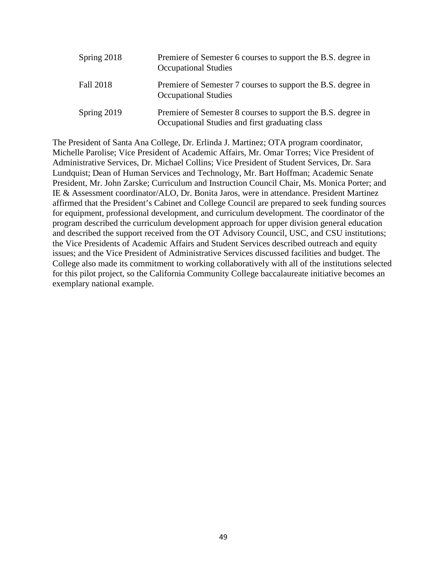| Spring 2018 | Premiere of Semester 6 courses to support the B.S. degree in<br><b>Occupational Studies</b>                     |
|-------------|-----------------------------------------------------------------------------------------------------------------|
| Fall 2018   | Premiere of Semester 7 courses to support the B.S. degree in<br><b>Occupational Studies</b>                     |
| Spring 2019 | Premiere of Semester 8 courses to support the B.S. degree in<br>Occupational Studies and first graduating class |

The President of Santa Ana College, Dr. Erlinda J. Martinez; OTA program coordinator, Michelle Parolise; Vice President of Academic Affairs, Mr. Omar Torres; Vice President of Administrative Services, Dr. Michael Collins; Vice President of Student Services, Dr. Sara Lundquist; Dean of Human Services and Technology, Mr. Bart Hoffman; Academic Senate President, Mr. John Zarske; Curriculum and Instruction Council Chair, Ms. Monica Porter; and IE & Assessment coordinator/ALO, Dr. Bonita Jaros, were in attendance. President Martinez affirmed that the President's Cabinet and College Council are prepared to seek funding sources for equipment, professional development, and curriculum development. The coordinator of the program described the curriculum development approach for upper division general education and described the support received from the OT Advisory Council, USC, and CSU institutions; the Vice Presidents of Academic Affairs and Student Services described outreach and equity issues; and the Vice President of Administrative Services discussed facilities and budget. The College also made its commitment to working collaboratively with all of the institutions selected for this pilot project, so the California Community College baccalaureate initiative becomes an exemplary national example.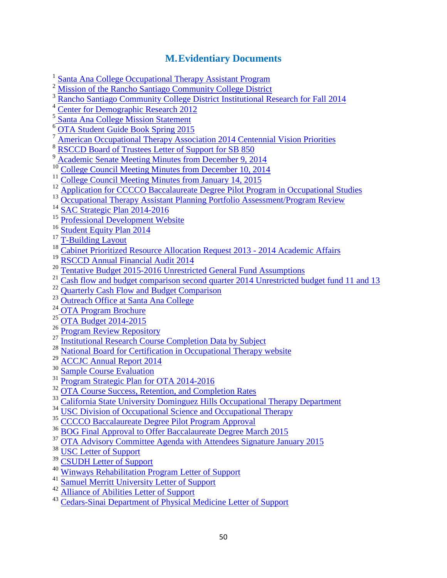# **M.Evidentiary Documents**

<span id="page-49-0"></span><sup>1</sup> [Santa Ana College Occupational Therapy Assistant Program](http://www.sac.edu/AcademicProgs/HST/OTA/Pages/default.aspx)

<span id="page-49-1"></span>[Mission of the Rancho Santiago Community College District](http://www.rsccd.edu/Trustees/Pages/Mission-Goals.aspx)

<span id="page-49-2"></span><sup>3</sup> [Rancho Santiago Community College District Institutional Research for Fall 2014](http://www.sac.edu/AcademicAffairs/Documents/Substantive%20Change%20Proposal%20Baccalaureate%20Degree%20Proposal%202015/enrollmenttrendsfall2014final.pdf)

<span id="page-49-3"></span>[Center for Demographic Research 2012](http://www.sac.edu/Accreditation/2014SelfEval/Documents/Introduction/Demographic%20Information.pdf)

<sup>5</sup> [Santa Ana College Mission Statement](http://www.sac.edu/AboutSAC/Pages/mission.aspx)

 $\frac{6}{7}$  [OTA Student Guide Book Spring 2015](http://www.sac.edu/AcademicAffairs/Documents/Substantive%20Change%20Proposal%20Baccalaureate%20Degree%20Proposal%202015/OTA%20Student%20Guide%20Book.pdf)

[American Occupational Therapy Association 2014 Centennial Vision Priorities](http://www.sac.edu/AcademicAffairs/Documents/Substantive%20Change%20Proposal%20Baccalaureate%20Degree%20Proposal%202015/AOTA%20FY%202014%20Centennial%20Vision%20Priorities.pdf)

[RSCCD Board of Trustees Letter of Support for SB 850](http://www.sac.edu/AcademicAffairs/Documents/Substantive%20Change%20Proposal%20Baccalaureate%20Degree%20Proposal%202015/Board%20of%20Trustees%20letter%20of%20support%20for%20SB850.pdf)

[Academic Senate Meeting Minutes from December 9, 2014](http://www.sac.edu/AcademicAffairs/Documents/Substantive%20Change%20Proposal%20Baccalaureate%20Degree%20Proposal%202015/Academic%20Senate%20Meeting%20Minutes%20December%209%202014.pdf)

<sup>10</sup> [College Council Meeting Minutes from December 10, 2014](http://www.sac.edu/AcademicAffairs/Documents/Substantive%20Change%20Proposal%20Baccalaureate%20Degree%20Proposal%202015/College%20Council%20Meeting%20Minutes%20December%2010%202014.pdf)

<sup>11</sup> [College Council Meeting Minutes from January 14, 2015](http://www.sac.edu/AcademicAffairs/Documents/Substantive%20Change%20Proposal%20Baccalaureate%20Degree%20Proposal%202015/College%20Council%20Meeting%20Minutes%20January%2014%202015.pdf)

- <sup>12</sup> [Application for CCCCO Baccalaureate Degree Pilot Program in Occupational Studies](http://www.sac.edu/AcademicAffairs/Documents/Substantive%20Change%20Proposal%20Baccalaureate%20Degree%20Proposal%202015/SAC_BS_Proposal_Occupational_Studies_12-17-14_FINAL.pdf)
- <sup>13</sup> [Occupational Therapy Assistant Planning Portfolio Assessment/Program Review](http://www.sac.edu/Program_Review/HST/OTA/Annual%20Planning%20Portfolio%20and%20Quadrennial%2019QT%20Cap/OTA_PAPR_S13.pdf)
- <sup>14</sup> [SAC Strategic Plan 2014-2016](http://www.sac.edu/AcademicAffairs/IEA_Office/Documents/2014-2016%20Strategic%20Plan%20Update_approved9102014.pdf)
- <sup>15</sup> [Professional Development Website](http://www.sac.edu/facultystaff/professional-development/Pages/default.aspx)

<sup>16</sup> [Student Equity Plan 2014](http://www.sac.edu/committees/StudentSuccess/Documents/Josh%20Dorman/Student%20Equity%20Plan.pdf)

- <sup>17</sup> [T-Building Layout](http://www.sac.edu/AcademicAffairs/Documents/Substantive%20Change%20Proposal%20Baccalaureate%20Degree%20Proposal%202015/T%20Building%20Layout.pdf)
- <sup>18</sup> [Cabinet Prioritized Resource Allocation Request 2013 -](http://www.sac.edu/AcademicAffairs/Documents/Substantive%20Change%20Proposal%20Baccalaureate%20Degree%20Proposal%202015/CABINET%20PRIORITIZED%20RAR%20Academic%20Affairs%202013-2014%20FUNDED.pdf) 2014 Academic Affairs
- <sup>19</sup> [RSCCD Annual Financial Audit 2014](http://www.rsccd.edu/Departments/Fiscal-Services/Documents/FOUNDATION%20REPORTS/Rancho%20Santiago%20CCD%20Audit%20Report%202014.pdf)
- <sup>20</sup> [Tentative Budget 2015-2016 Unrestricted General Fund Assumptions](http://www.sac.edu/AdminServices/budget/Documents/Budget%20Assumptions%20FY%2015-16%20Approved.pdf)
- <sup>21</sup> [Cash flow and budget comparison second quarter 2014 Unrestricted budget fund 11 and 13](http://www.sac.edu/AdminServices/budget/Documents/Fund%2011%2013Cashflow%20and%20budget%20comparison%20fd%2011%2013%20SAC%20123114.pdf)
- <sup>22</sup> [Quarterly Cash Flow and Budget Comparison](http://www.sac.edu/AdminServices/budget/Documents/FUND%2012cashflow%20and%20budget%20comparison%20fd%2012%20SAC%20123114.pdf)
- <sup>23</sup> [Outreach Office at Santa Ana College](http://www.sac.edu/StudentServices/StudentOutreach/Pages/default.aspx)
- <sup>24</sup> [OTA Program Brochure](http://www.sac.edu/AcademicProgs/HST/OTA/Documents/Program%20Brochure%20OTA%202-2014.pdf)
- <sup>25</sup> [OTA Budget 2014-2015](http://www.sac.edu/AcademicAffairs/Documents/Substantive%20Change%20Proposal%20Baccalaureate%20Degree%20Proposal%202015/OTA%20budget%202014_2015.pdf)
- <sup>26</sup> [Program Review Repository](http://www.sac.edu/program_Review/Pages/default.aspx)
- <sup>27</sup> [Institutional Research Course Completion Data by Subject](http://www.sac.edu/AcademicAffairs/Documents/Substantive%20Change%20Proposal%20Baccalaureate%20Degree%20Proposal%202015/CourseCompletion2009to2013CREDITbysubjectcourse.pdf)
- <sup>28</sup> [National Board for Certification in Occupational Therapy website](http://www.nbcot.org/program-director-portal)
- <sup>29</sup> [ACCJC Annual Report 2014](http://www.sac.edu/AcademicAffairs/Documents/Substantive%20Change%20Proposal%20Baccalaureate%20Degree%20Proposal%202015/ACCJC%20Annual%20Report%202014.pdf)
- <sup>30</sup> [Sample Course Evaluation](http://www.sac.edu/AcademicAffairs/Documents/Substantive%20Change%20Proposal%20Baccalaureate%20Degree%20Proposal%202015/Sample%20Course%20Evaluation.pdf)
- <sup>31</sup> [Program Strategic Plan for OTA 2014-2016](http://www.sac.edu/AcademicAffairs/Documents/Substantive%20Change%20Proposal%20Baccalaureate%20Degree%20Proposal%202015/Program%20Strategic%20Plan%202014_2016%20OTA.pdf)
- <sup>32</sup> [OTA Course Success, Retention, and Completion Rates](http://www.sac.edu/AcademicAffairs/Documents/Substantive%20Change%20Proposal%20Baccalaureate%20Degree%20Proposal%202015/Course%20Success,%20Retention,and%20Completion%20Rates%20for%20OTA.pdf)
- <sup>33</sup> [California State University Dominguez Hills Occupational Therapy Department](http://www4.csudh.edu/ot/)
- <sup>34</sup> [USC Division of Occupational Science and Occupational Therapy](http://chan.usc.edu/)
- <sup>35</sup> [CCCCO Baccalaureate Degree Pilot Program Approval](http://www.sac.edu/AcademicAffairs/Documents/Substantive%20Change%20Proposal%20Baccalaureate%20Degree%20Proposal%202015/CCCCO%20Press%20Release%20January%202015.pdf)
- <sup>36</sup> [BOG Final Approval to Offer Baccalaureate Degree March 2015](http://www.sac.edu/AcademicAffairs/Documents/Substantive%20Change%20Proposal%20Baccalaureate%20Degree%20Proposal%202015/Final%20Approval%20for%20CCCCO%20Baccalaureate%20Pilot%20Program.pdf)
- <sup>37</sup> [OTA Advisory Committee Agenda with Attendees Signature January 2015](http://www.sac.edu/AcademicAffairs/Documents/Substantive%20Change%20Proposal%20Baccalaureate%20Degree%20Proposal%202015/OTA%20Advisory%20Committee%20Agenda%20and%20Signature%20Page%20January%202015.pdf)
- <sup>38</sup> [USC Letter of Support](http://www.sac.edu/AcademicAffairs/Documents/Substantive%20Change%20Proposal%20Baccalaureate%20Degree%20Proposal%202015/USC%20Letter%20of%20Support.pdf)
- <sup>39</sup> [CSUDH Letter of Support](http://www.sac.edu/AcademicAffairs/Documents/Substantive%20Change%20Proposal%20Baccalaureate%20Degree%20Proposal%202015/CSUDH%20Letter%20of%20Support.pdf)
- <sup>40</sup> [Winways Rehabilitation Program Letter of Support](http://www.sac.edu/AcademicAffairs/Documents/Substantive%20Change%20Proposal%20Baccalaureate%20Degree%20Proposal%202015/Winways%20Letter%20of%20Support.pdf)
- <sup>41</sup> [Samuel Merritt University Letter of Support](http://www.sac.edu/AcademicAffairs/Documents/Substantive%20Change%20Proposal%20Baccalaureate%20Degree%20Proposal%202015/Samuel%20Merritt%20University%20Letter%20of%20Support.pdf)
- <sup>42</sup> [Alliance of Abilities Letter of Support](http://www.sac.edu/AcademicAffairs/Documents/Substantive%20Change%20Proposal%20Baccalaureate%20Degree%20Proposal%202015/Alliance%20of%20Abilities%20Letter%20of%20Support.pdf)

<sup>43</sup> [Cedars-Sinai Department of Physical Medicine Letter of Support](http://www.sac.edu/AcademicAffairs/Documents/Substantive%20Change%20Proposal%20Baccalaureate%20Degree%20Proposal%202015/Cedars%20Sinai%20Letter%20of%20Support.pdf)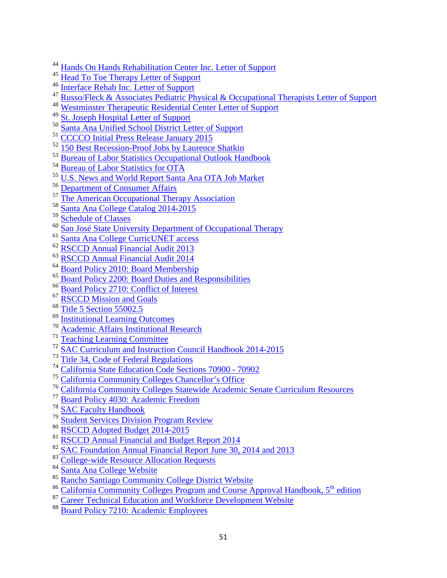- [Hands On Hands Rehabilitation Center Inc. Letter of Support](http://www.sac.edu/AcademicAffairs/Documents/Substantive%20Change%20Proposal%20Baccalaureate%20Degree%20Proposal%202015/Hands%20on%20Hands%20Letter%20of%20Support.pdf)
- [Head To Toe Therapy Letter of Support](http://www.sac.edu/AcademicAffairs/Documents/Substantive%20Change%20Proposal%20Baccalaureate%20Degree%20Proposal%202015/Head%20to%20Toe%20Letter%20of%20Support.pdf)
- [Interface Rehab Inc. Letter of Support](http://www.sac.edu/AcademicAffairs/Documents/Substantive%20Change%20Proposal%20Baccalaureate%20Degree%20Proposal%202015/Interface%20Rehab%20Letter%20of%20Support.pdf)
- [Russo/Fleck & Associates Pediatric Physical & Occupational Therapists Letter of Support](http://www.sac.edu/AcademicAffairs/Documents/Substantive%20Change%20Proposal%20Baccalaureate%20Degree%20Proposal%202015/Russo%20Fleck%20and%20Associates%20Letter%20of%20Support.pdf)
- [Westminster Therapeutic Residential Center Letter of Support](http://www.sac.edu/AcademicAffairs/Documents/Substantive%20Change%20Proposal%20Baccalaureate%20Degree%20Proposal%202015/Extended%20Care%20Hospital%20of%20Westminster%20Letter%20of%20Support.pdf)
- [St. Joseph Hospital Letter of Support](http://www.sac.edu/AcademicAffairs/Documents/Substantive%20Change%20Proposal%20Baccalaureate%20Degree%20Proposal%202015/St%20Joseph%20Hospital%20Letter%20of%20Support.pdf)
- <span id="page-50-1"></span><span id="page-50-0"></span>[Santa Ana Unified School District Letter of Support](http://www.sac.edu/AcademicAffairs/Documents/Substantive%20Change%20Proposal%20Baccalaureate%20Degree%20Proposal%202015/SAUSD%20Letter%20of%20Support.pdf)
- [CCCCO Initial Press Release January 2015](http://www.sac.edu/AcademicAffairs/Documents/Substantive%20Change%20Proposal%20Baccalaureate%20Degree%20Proposal%202015/CCCCO%20Press%20Release%20January%202015.pdf)
- [150 Best Recession-Proof Jobs by Laurence Shatkin](http://www.amazon.com/Best-Recession-Proof-Jobs-Laurence-Shatkin/dp/1593576234)
- [Bureau of Labor Statistics Occupational Outlook Handbook](http://www.bls.gov/ooh/fastest-growing.htm)
- [Bureau of Labor Statistics for OTA](http://www.labormarketinfo.edd.ca.gov/cgi/databrowsing/occExplorerQSDetails.asp?searchCriteria=&careerID=&menuChoice=occExplorer&geogArea=&soccode=312011&search=Explore+Occupation)
- [U.S. News and World Report Santa Ana OTA Job Market](http://money.usnews.com/careers/best-jobs/occupational-therapy-assistant/salary)
- <sup>56</sup> [Department of Consumer Affairs](http://www.labormarketinfo.edd.ca.gov/cgi/databrowsing/occExplorerQSDetails.asp?searchCriteria=&careerID=&menuChoice=occExplorer&geogArea=&soccode=312011&search=Explore+Occupation)
- [The American Occupational Therapy Association](http://www.aota.org/Education-Careers/Find-School.aspx)
- [Santa Ana College Catalog 2014-2015](http://www.sac.edu/CatalogAndSchedule/Documents/2014-2015/Catalog_14-15.pdf)
- [Schedule of Classes](http://www.sac.edu/CatalogAndSchedule/Pages/default.aspx)
- [San José State University Department of Occupational Therapy](http://www.sjsu.edu/occupationaltherapy/)
- [Santa Ana College CurricUNET access](http://www.curricunet.com/sac)
- [RSCCD Annual Financial Audit 2013](http://www.rsccd.edu/Departments/Fiscal-Services/Documents/FOUNDATION%20REPORTS/Rancho%20Santiago%20CCD%20Audit%20Rpt%20%202013.pdf)
- [RSCCD Annual Financial Audit 2014](http://www.rsccd.edu/Departments/Fiscal-Services/Documents/FOUNDATION%20REPORTS/Rancho%20Santiago%20CCD%20Audit%20Report%202014.pdf)
- <sup>64</sup> [Board Policy 2010: Board Membership](http://www.rsccd.edu/Trustees/Board-Policies/Pages/2000/BP-2010.aspx)
- [Board Policy 2200: Board Duties and Responsibilities](http://www.rsccd.edu/Trustees/Board-Policies/Pages/2000/BP-2200.aspx)
- <sup>66</sup> [Board Policy 2710: Conflict of Interest](http://www.rsccd.edu/Trustees/Board-Policies/Pages/2000/BP-2710.aspx)
- [RSCCD Mission and Goals](http://www.rsccd.edu/Trustees/Pages/Mission-Goals.aspx)
- <sup>68</sup> [Title 5 Section 55002.5](http://www.sac.edu/AcademicAffairs/Documents/Title5Section55002-5.pdf)
- [Institutional Learning Outcomes](http://www.sac.edu/Program_Review/Documents/Institutional_%20Learning_Outcomes_How_To_from_TLC%2009-15-14.pdf)
- [Academic Affairs Institutional Research](http://www.sac.edu/AcademicAffairs/InstitutionalResearch/Pages/Reports-Directory.aspx)
- [Teaching Learning Committee](http://sac.edu/committees/TLC/Pages/default.aspx)
- [SAC Curriculum and Instruction Council Handbook 2014-2015](http://sac.edu/committees/curriculum/Documents/SAC%20Curriculum%20and%20Instruction%20Handbook%20%20Approved%202014-2015.docx)
- <sup>73</sup> [Title 34, Code of Federal Regulations](http://www.ecfr.gov/cgi-bin/text-idx?tpl=/ecfrbrowse/Title34/34tab_02.tpl)
- [California State Education Code Sections 70900 -](http://www.sac.edu/AcademicAffairs/Documents/CAcodes%28edc_70900-70902%29.pdf) 70902
- [California Community Colleges Chancellor's Office](http://www.cccco.edu/)
- [California Community Colleges Statewide Academic Senate Curriculum Resources](http://www.ccccurriculum.net/)
- [Board Policy 4030: Academic Freedom](http://www.rsccd.edu/Trustees/Pages/BP-4030.aspx)
- [SAC Faculty Handbook](http://www.sac.edu/President/AcademicSenate/Documents/Faculty%20Handbook%20-2014.pdf)
- [Student Services Division Program Review](http://www.sac.edu/Program_Review/Pages/Student-Services.aspx)
- [RSCCD Adopted Budget 2014-2015](http://www.rsccd.edu/Departments/Business-Operations/Documents/2014-15%20Adopted%20Budget.pdf)
- [RSCCD Annual Financial and Budget Report 2014](http://www.rsccd.edu/Departments/Fiscal-Services/Documents/CCFS-311%20Annual%20Fiscal%20Year%202013-14.pdf)
- [SAC Foundation Annual Financial Report June 30, 2014 and 2013](http://www.rsccd.edu/Departments/Fiscal-Services/Documents/FOUNDATION%20REPORTS/Santa%20Ana%20College%20Foundation%20Audit%20Report%202014.pdf)
- 83 College-wide [Resource Allocation Requests](http://www.sac.edu/AdminServices/budget/Pages/default.aspx)
- [Santa Ana College Website](http://www.sac.edu/)
- [Rancho Santiago Community College District Website](http://www.rsccd.edu/)
- 86 California Community Colleges Program and Course Approval Handbook, 5<sup>th</sup> edition
- [Career Technical Education and Workforce Development Website](http://www.sac.edu/AcademicProgs/CEWD/Pages/default.aspx)
- [Board Policy 7210: Academic Employees](http://www.rsccd.edu/Trustees/Board-Policies/Pages/7000/BP-7210.aspx)